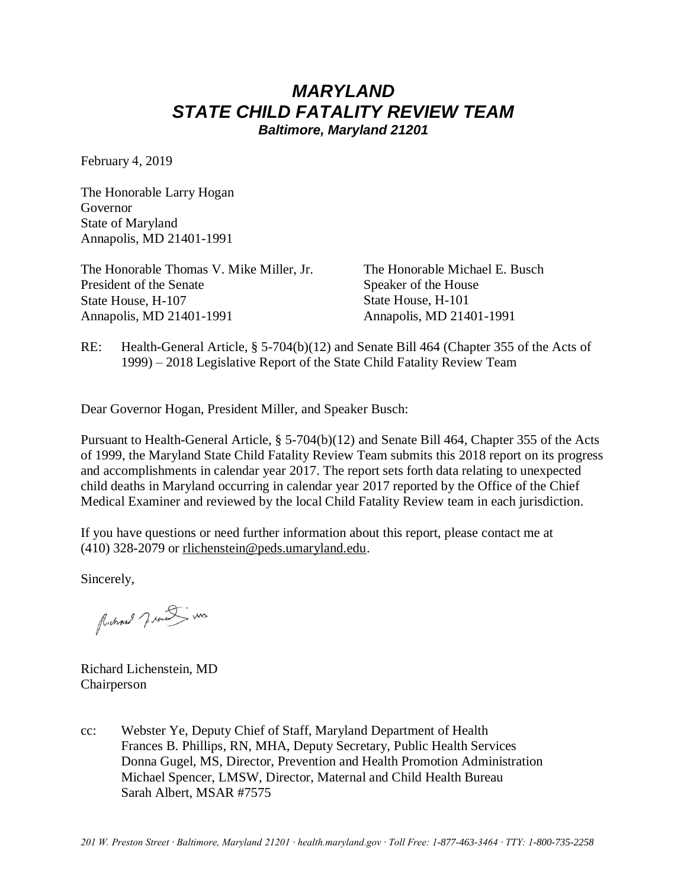# *MARYLAND STATE CHILD FATALITY REVIEW TEAM*

*Baltimore, Maryland 21201*

February 4, 2019

The Honorable Larry Hogan Governor State of Maryland Annapolis, MD 21401-1991

The Honorable Thomas V. Mike Miller, Jr. President of the Senate State House, H-107 Annapolis, MD 21401-1991 Annapolis, MD 21401-1991

The Honorable Michael E. Busch Speaker of the House State House, H-101

RE: Health-General Article, § 5-704(b)(12) and Senate Bill 464 (Chapter 355 of the Acts of 1999) – 2018 Legislative Report of the State Child Fatality Review Team

Dear Governor Hogan, President Miller, and Speaker Busch:

Pursuant to Health-General Article, § 5-704(b)(12) and Senate Bill 464, Chapter 355 of the Acts of 1999, the Maryland State Child Fatality Review Team submits this 2018 report on its progress and accomplishments in calendar year 2017. The report sets forth data relating to unexpected child deaths in Maryland occurring in calendar year 2017 reported by the Office of the Chief Medical Examiner and reviewed by the local Child Fatality Review team in each jurisdiction.

If you have questions or need further information about this report, please contact me at (410) 328-2079 or [rlichenstein@peds.umaryland.edu.](mailto:rlichenstein@peds.umaryland.edu)

Sincerely,

Michael 7. was in

Richard Lichenstein, MD Chairperson

cc: Webster Ye, Deputy Chief of Staff, Maryland Department of Health Frances B. Phillips, RN, MHA, Deputy Secretary, Public Health Services Donna Gugel, MS, Director, Prevention and Health Promotion Administration Michael Spencer, LMSW, Director, Maternal and Child Health Bureau Sarah Albert, MSAR #7575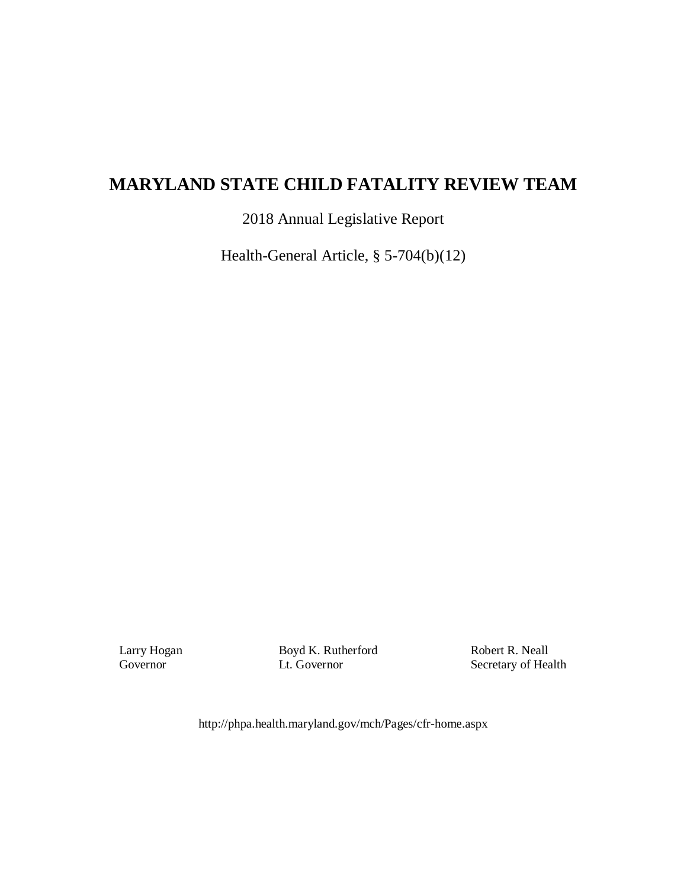## **MARYLAND STATE CHILD FATALITY REVIEW TEAM**

2018 Annual Legislative Report

Health-General Article, § 5-704(b)(12)

Larry Hogan Governor

Boyd K. Rutherford Lt. Governor

Robert R. Neall Secretary of Health

http://phpa.health.maryland.gov/mch/Pages/cfr-home.aspx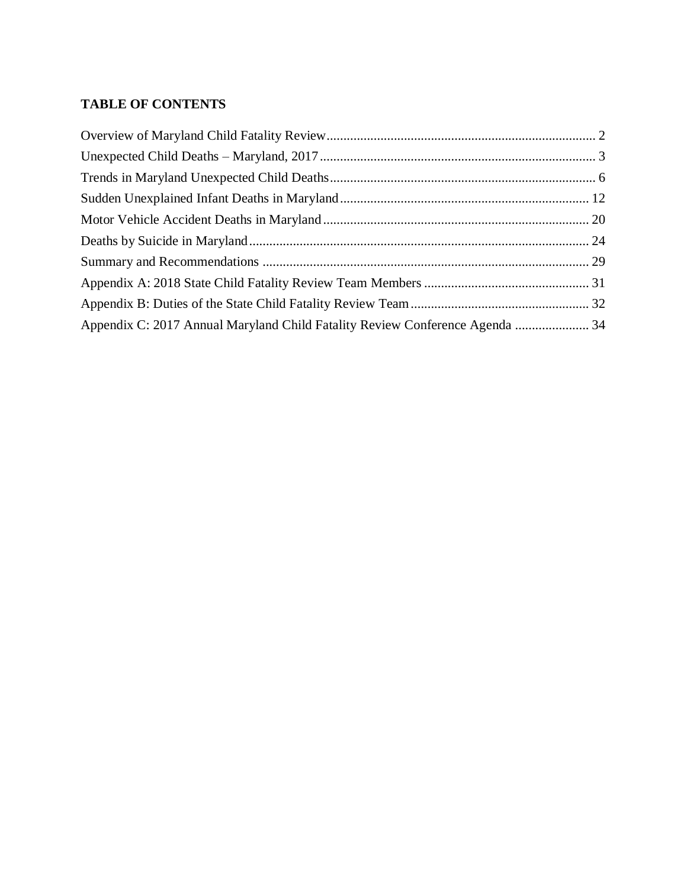## **TABLE OF CONTENTS**

| Appendix C: 2017 Annual Maryland Child Fatality Review Conference Agenda  34 |  |
|------------------------------------------------------------------------------|--|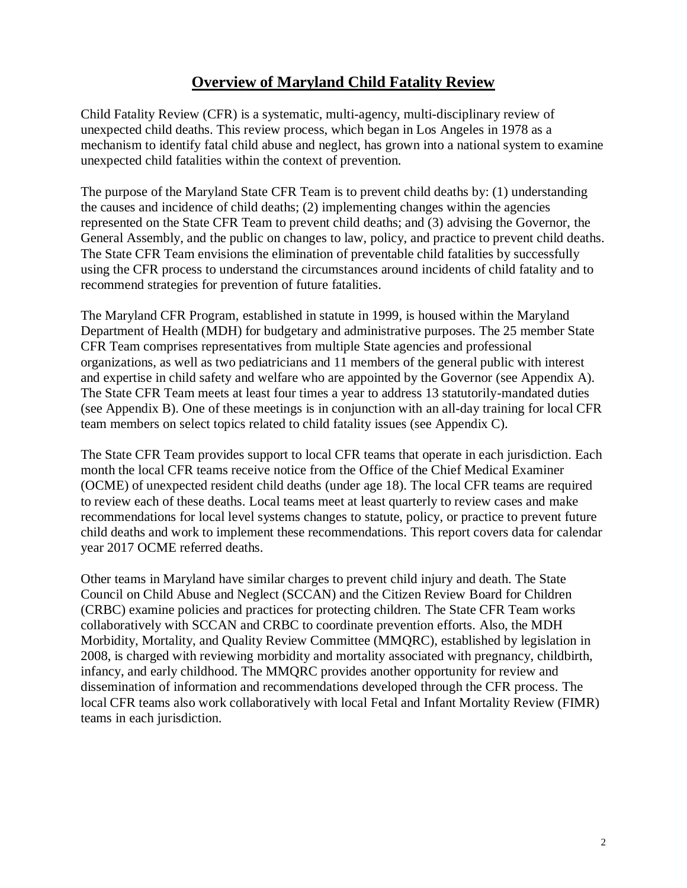## **Overview of Maryland Child Fatality Review**

<span id="page-3-0"></span>Child Fatality Review (CFR) is a systematic, multi-agency, multi-disciplinary review of unexpected child deaths. This review process, which began in Los Angeles in 1978 as a mechanism to identify fatal child abuse and neglect, has grown into a national system to examine unexpected child fatalities within the context of prevention.

The purpose of the Maryland State CFR Team is to prevent child deaths by: (1) understanding the causes and incidence of child deaths; (2) implementing changes within the agencies represented on the State CFR Team to prevent child deaths; and (3) advising the Governor, the General Assembly, and the public on changes to law, policy, and practice to prevent child deaths. The State CFR Team envisions the elimination of preventable child fatalities by successfully using the CFR process to understand the circumstances around incidents of child fatality and to recommend strategies for prevention of future fatalities.

The Maryland CFR Program, established in statute in 1999, is housed within the Maryland Department of Health (MDH) for budgetary and administrative purposes. The 25 member State CFR Team comprises representatives from multiple State agencies and professional organizations, as well as two pediatricians and 11 members of the general public with interest and expertise in child safety and welfare who are appointed by the Governor (see Appendix A). The State CFR Team meets at least four times a year to address 13 statutorily-mandated duties (see Appendix B). One of these meetings is in conjunction with an all-day training for local CFR team members on select topics related to child fatality issues (see Appendix C).

The State CFR Team provides support to local CFR teams that operate in each jurisdiction. Each month the local CFR teams receive notice from the Office of the Chief Medical Examiner (OCME) of unexpected resident child deaths (under age 18). The local CFR teams are required to review each of these deaths. Local teams meet at least quarterly to review cases and make recommendations for local level systems changes to statute, policy, or practice to prevent future child deaths and work to implement these recommendations. This report covers data for calendar year 2017 OCME referred deaths.

Other teams in Maryland have similar charges to prevent child injury and death. The State Council on Child Abuse and Neglect (SCCAN) and the Citizen Review Board for Children (CRBC) examine policies and practices for protecting children. The State CFR Team works collaboratively with SCCAN and CRBC to coordinate prevention efforts. Also, the MDH Morbidity, Mortality, and Quality Review Committee (MMQRC), established by legislation in 2008, is charged with reviewing morbidity and mortality associated with pregnancy, childbirth, infancy, and early childhood. The MMQRC provides another opportunity for review and dissemination of information and recommendations developed through the CFR process. The local CFR teams also work collaboratively with local Fetal and Infant Mortality Review (FIMR) teams in each jurisdiction.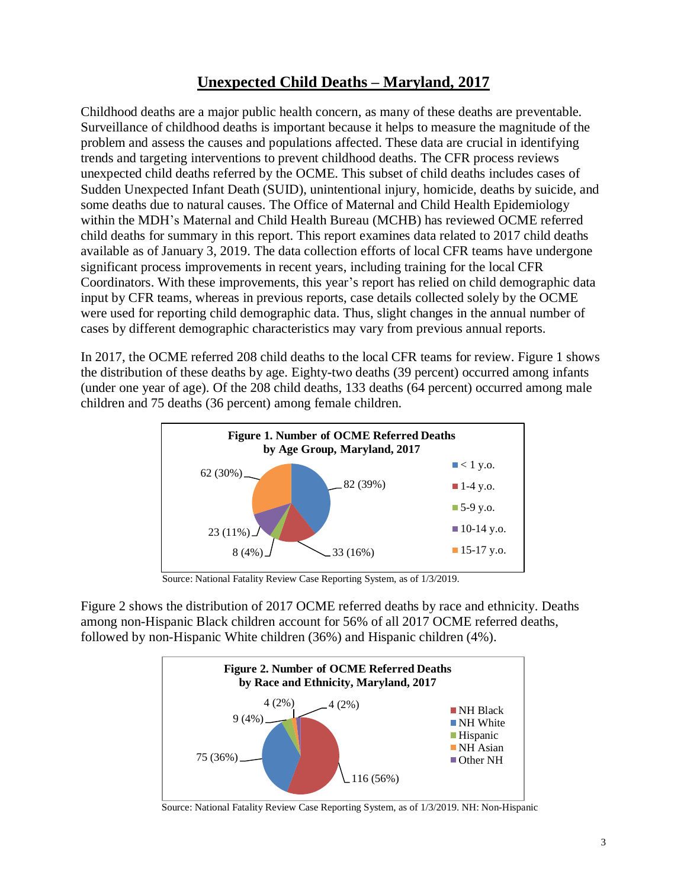## <span id="page-4-0"></span>**Unexpected Child Deaths – Maryland, 2017**

Childhood deaths are a major public health concern, as many of these deaths are preventable. Surveillance of childhood deaths is important because it helps to measure the magnitude of the problem and assess the causes and populations affected. These data are crucial in identifying trends and targeting interventions to prevent childhood deaths. The CFR process reviews unexpected child deaths referred by the OCME. This subset of child deaths includes cases of Sudden Unexpected Infant Death (SUID), unintentional injury, homicide, deaths by suicide, and some deaths due to natural causes. The Office of Maternal and Child Health Epidemiology within the MDH's Maternal and Child Health Bureau (MCHB) has reviewed OCME referred child deaths for summary in this report. This report examines data related to 2017 child deaths available as of January 3, 2019. The data collection efforts of local CFR teams have undergone significant process improvements in recent years, including training for the local CFR Coordinators. With these improvements, this year's report has relied on child demographic data input by CFR teams, whereas in previous reports, case details collected solely by the OCME were used for reporting child demographic data. Thus, slight changes in the annual number of cases by different demographic characteristics may vary from previous annual reports.

In 2017, the OCME referred 208 child deaths to the local CFR teams for review. Figure 1 shows the distribution of these deaths by age. Eighty-two deaths (39 percent) occurred among infants (under one year of age). Of the 208 child deaths, 133 deaths (64 percent) occurred among male children and 75 deaths (36 percent) among female children.



Source: National Fatality Review Case Reporting System, as of 1/3/2019.

Figure 2 shows the distribution of 2017 OCME referred deaths by race and ethnicity. Deaths among non-Hispanic Black children account for 56% of all 2017 OCME referred deaths, followed by non-Hispanic White children (36%) and Hispanic children (4%).



Source: National Fatality Review Case Reporting System, as of 1/3/2019. NH: Non-Hispanic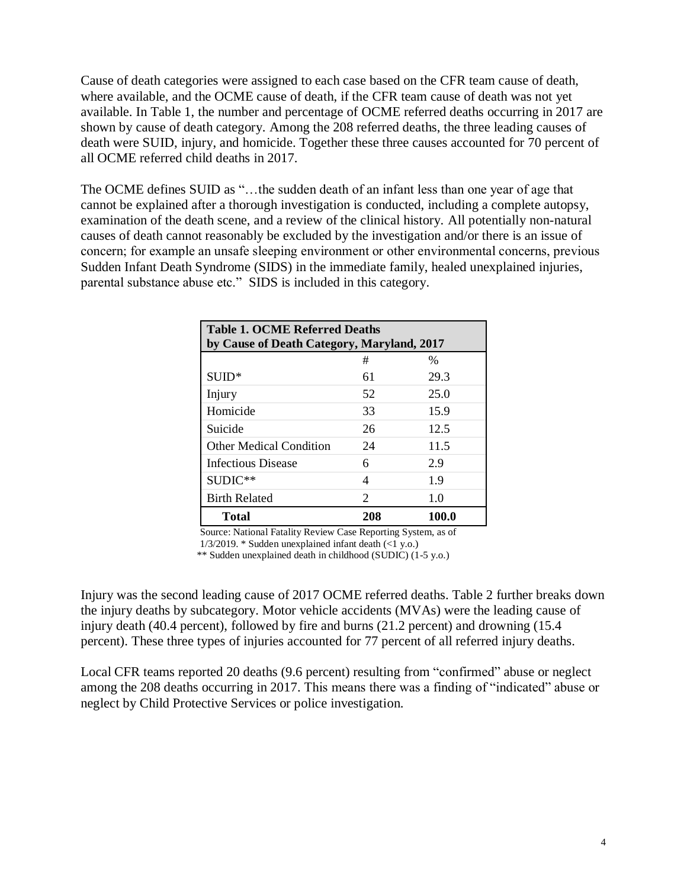Cause of death categories were assigned to each case based on the CFR team cause of death, where available, and the OCME cause of death, if the CFR team cause of death was not yet available. In Table 1, the number and percentage of OCME referred deaths occurring in 2017 are shown by cause of death category. Among the 208 referred deaths, the three leading causes of death were SUID, injury, and homicide. Together these three causes accounted for 70 percent of all OCME referred child deaths in 2017.

The OCME defines SUID as "…the sudden death of an infant less than one year of age that cannot be explained after a thorough investigation is conducted, including a complete autopsy, examination of the death scene, and a review of the clinical history. All potentially non-natural causes of death cannot reasonably be excluded by the investigation and/or there is an issue of concern; for example an unsafe sleeping environment or other environmental concerns, previous Sudden Infant Death Syndrome (SIDS) in the immediate family, healed unexplained injuries, parental substance abuse etc." SIDS is included in this category.

| <b>Table 1. OCME Referred Deaths</b><br>by Cause of Death Category, Maryland, 2017 |     |       |  |  |
|------------------------------------------------------------------------------------|-----|-------|--|--|
|                                                                                    | #   | $\%$  |  |  |
| $SUID*$                                                                            | 61  | 29.3  |  |  |
| Injury                                                                             | 52  | 25.0  |  |  |
| Homicide                                                                           | 33  | 15.9  |  |  |
| Suicide                                                                            | 26  | 12.5  |  |  |
| <b>Other Medical Condition</b>                                                     | 24  | 11.5  |  |  |
| <b>Infectious Disease</b>                                                          | 6   | 2.9   |  |  |
| $SUDIC**$                                                                          | 4   | 1.9   |  |  |
| <b>Birth Related</b>                                                               | 2   | 1.0   |  |  |
| <b>Total</b>                                                                       | 208 | 100.0 |  |  |

Source: National Fatality Review Case Reporting System, as of

 $1/3/2019$ . \* Sudden unexplained infant death (<1 y.o.)

\*\* Sudden unexplained death in childhood (SUDIC) (1-5 y.o.)

Injury was the second leading cause of 2017 OCME referred deaths. Table 2 further breaks down the injury deaths by subcategory. Motor vehicle accidents (MVAs) were the leading cause of injury death (40.4 percent), followed by fire and burns (21.2 percent) and drowning (15.4 percent). These three types of injuries accounted for 77 percent of all referred injury deaths.

Local CFR teams reported 20 deaths (9.6 percent) resulting from "confirmed" abuse or neglect among the 208 deaths occurring in 2017. This means there was a finding of "indicated" abuse or neglect by Child Protective Services or police investigation.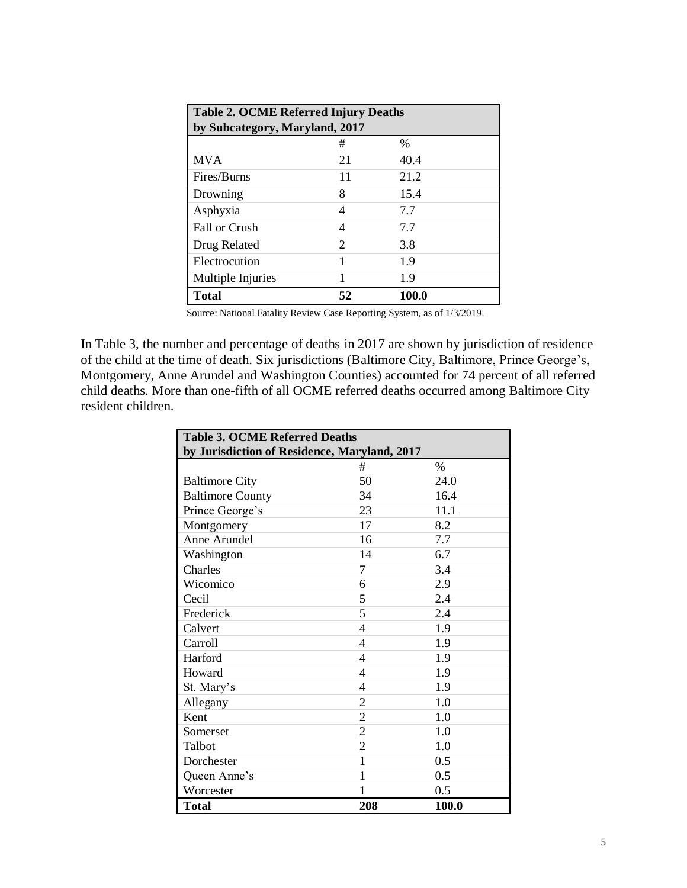| <b>Table 2. OCME Referred Injury Deaths</b> |                             |       |  |  |  |
|---------------------------------------------|-----------------------------|-------|--|--|--|
| by Subcategory, Maryland, 2017              |                             |       |  |  |  |
|                                             | #                           | $\%$  |  |  |  |
| <b>MVA</b>                                  | 21                          | 40.4  |  |  |  |
| Fires/Burns                                 | 11                          | 21.2  |  |  |  |
| Drowning                                    | 8                           | 15.4  |  |  |  |
| Asphyxia                                    | 4                           | 7.7   |  |  |  |
| <b>Fall or Crush</b>                        | 4                           | 7.7   |  |  |  |
| Drug Related                                | $\mathcal{D}_{\mathcal{L}}$ | 3.8   |  |  |  |
| Electrocution                               | 1                           | 1.9   |  |  |  |
| Multiple Injuries                           |                             | 1.9   |  |  |  |
| <b>Total</b>                                | 52                          | 100.0 |  |  |  |

In Table 3, the number and percentage of deaths in 2017 are shown by jurisdiction of residence of the child at the time of death. Six jurisdictions (Baltimore City, Baltimore, Prince George's, Montgomery, Anne Arundel and Washington Counties) accounted for 74 percent of all referred child deaths. More than one-fifth of all OCME referred deaths occurred among Baltimore City resident children.

| <b>Table 3. OCME Referred Deaths</b>         |                          |               |  |  |  |
|----------------------------------------------|--------------------------|---------------|--|--|--|
| by Jurisdiction of Residence, Maryland, 2017 |                          |               |  |  |  |
|                                              | #                        | $\frac{0}{0}$ |  |  |  |
| <b>Baltimore City</b>                        | 50                       | 24.0          |  |  |  |
| <b>Baltimore County</b>                      | 34                       | 16.4          |  |  |  |
| Prince George's                              | 23                       | 11.1          |  |  |  |
| Montgomery                                   | 17                       | 8.2           |  |  |  |
| Anne Arundel                                 | 16                       | 7.7           |  |  |  |
| Washington                                   | 14                       | 6.7           |  |  |  |
| Charles                                      | 7                        | 3.4           |  |  |  |
| Wicomico                                     | 6                        | 2.9           |  |  |  |
| Cecil                                        | 5                        | 2.4           |  |  |  |
| Frederick                                    | 5                        | 2.4           |  |  |  |
| Calvert                                      | 4                        | 1.9           |  |  |  |
| Carroll                                      | $\overline{4}$           | 1.9           |  |  |  |
| Harford                                      | 4                        | 1.9           |  |  |  |
| Howard                                       | $\overline{\mathcal{L}}$ | 1.9           |  |  |  |
| St. Mary's                                   | 4                        | 1.9           |  |  |  |
| Allegany                                     | $\mathbf{2}$             | 1.0           |  |  |  |
| Kent                                         | $\overline{2}$           | 1.0           |  |  |  |
| Somerset                                     | $\overline{2}$           | 1.0           |  |  |  |
| Talbot                                       | $\mathbf{2}$             | 1.0           |  |  |  |
| Dorchester                                   | $\mathbf{1}$             | 0.5           |  |  |  |
| Queen Anne's                                 | $\mathbf{1}$             | 0.5           |  |  |  |
| Worcester                                    | 1                        | 0.5           |  |  |  |
| <b>Total</b>                                 | 208                      | 100.0         |  |  |  |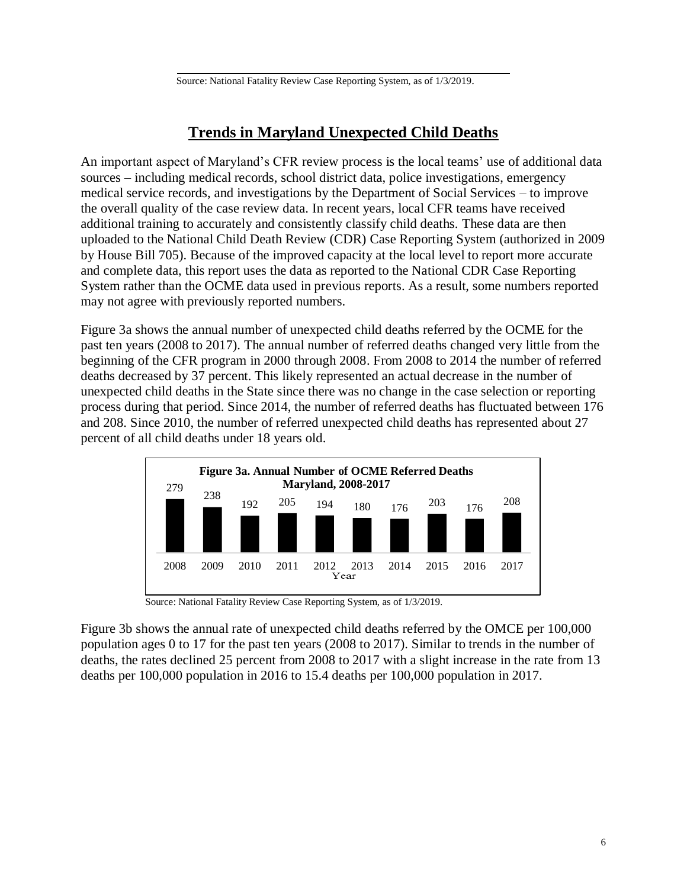## **Trends in Maryland Unexpected Child Deaths**

<span id="page-7-0"></span>An important aspect of Maryland's CFR review process is the local teams' use of additional data sources – including medical records, school district data, police investigations, emergency medical service records, and investigations by the Department of Social Services – to improve the overall quality of the case review data. In recent years, local CFR teams have received additional training to accurately and consistently classify child deaths. These data are then uploaded to the National Child Death Review (CDR) Case Reporting System (authorized in 2009 by House Bill 705). Because of the improved capacity at the local level to report more accurate and complete data, this report uses the data as reported to the National CDR Case Reporting System rather than the OCME data used in previous reports. As a result, some numbers reported may not agree with previously reported numbers.

Figure 3a shows the annual number of unexpected child deaths referred by the OCME for the past ten years (2008 to 2017). The annual number of referred deaths changed very little from the beginning of the CFR program in 2000 through 2008. From 2008 to 2014 the number of referred deaths decreased by 37 percent. This likely represented an actual decrease in the number of unexpected child deaths in the State since there was no change in the case selection or reporting process during that period. Since 2014, the number of referred deaths has fluctuated between 176 and 208. Since 2010, the number of referred unexpected child deaths has represented about 27 percent of all child deaths under 18 years old.



Source: National Fatality Review Case Reporting System, as of 1/3/2019.

Figure 3b shows the annual rate of unexpected child deaths referred by the OMCE per 100,000 population ages 0 to 17 for the past ten years (2008 to 2017). Similar to trends in the number of deaths, the rates declined 25 percent from 2008 to 2017 with a slight increase in the rate from 13 deaths per 100,000 population in 2016 to 15.4 deaths per 100,000 population in 2017.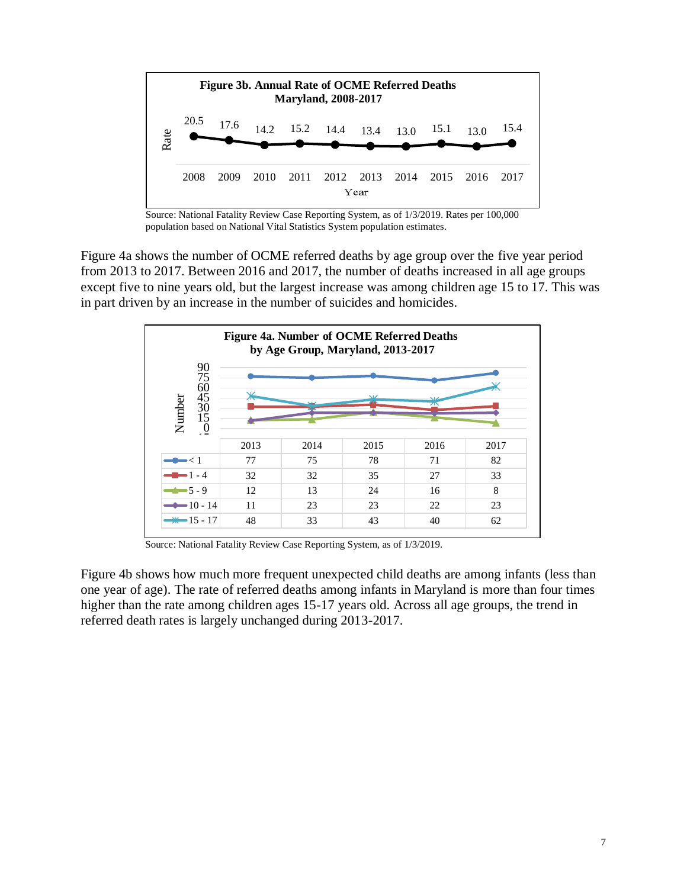

Source: National Fatality Review Case Reporting System, as of 1/3/2019. Rates per 100,000 population based on National Vital Statistics System population estimates.

Figure 4a shows the number of OCME referred deaths by age group over the five year period from 2013 to 2017. Between 2016 and 2017, the number of deaths increased in all age groups except five to nine years old, but the largest increase was among children age 15 to 17. This was in part driven by an increase in the number of suicides and homicides.



Source: National Fatality Review Case Reporting System, as of 1/3/2019.

Figure 4b shows how much more frequent unexpected child deaths are among infants (less than one year of age). The rate of referred deaths among infants in Maryland is more than four times higher than the rate among children ages 15-17 years old. Across all age groups, the trend in referred death rates is largely unchanged during 2013-2017.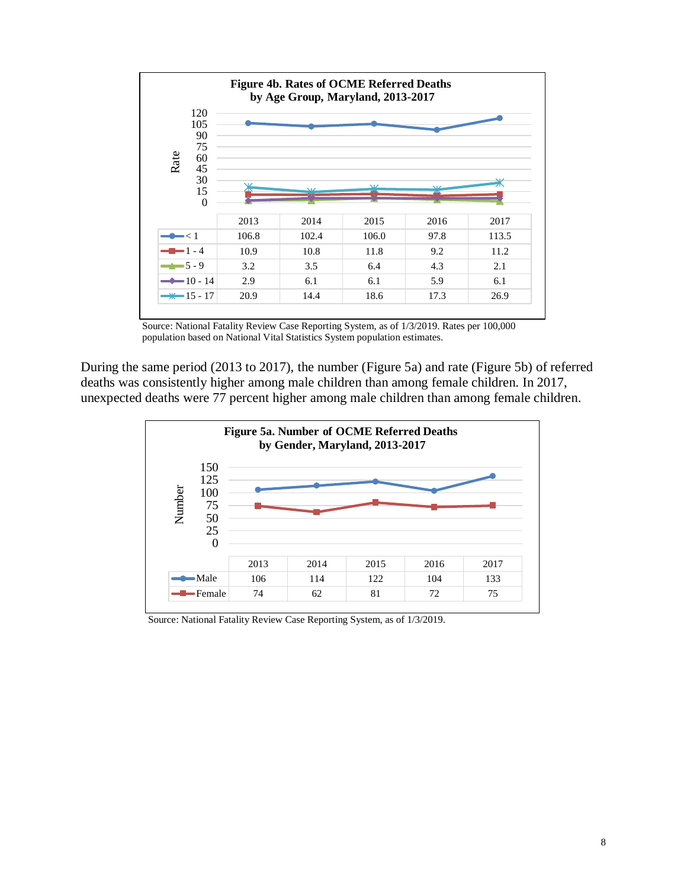

Source: National Fatality Review Case Reporting System, as of 1/3/2019. Rates per 100,000 population based on National Vital Statistics System population estimates.

During the same period (2013 to 2017), the number (Figure 5a) and rate (Figure 5b) of referred deaths was consistently higher among male children than among female children. In 2017, unexpected deaths were 77 percent higher among male children than among female children.



Source: National Fatality Review Case Reporting System, as of 1/3/2019.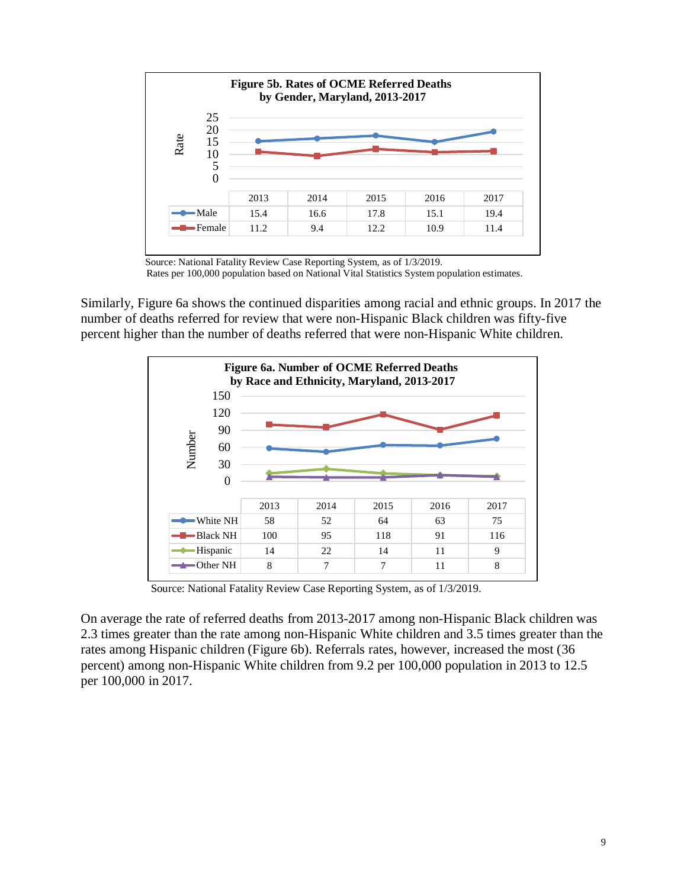

Source: National Fatality Review Case Reporting System, as of 1/3/2019.

Rates per 100,000 population based on National Vital Statistics System population estimates.

Similarly, Figure 6a shows the continued disparities among racial and ethnic groups. In 2017 the number of deaths referred for review that were non-Hispanic Black children was fifty-five percent higher than the number of deaths referred that were non-Hispanic White children.



Source: National Fatality Review Case Reporting System, as of 1/3/2019.

On average the rate of referred deaths from 2013-2017 among non-Hispanic Black children was 2.3 times greater than the rate among non-Hispanic White children and 3.5 times greater than the rates among Hispanic children (Figure 6b). Referrals rates, however, increased the most (36 percent) among non-Hispanic White children from 9.2 per 100,000 population in 2013 to 12.5 per 100,000 in 2017.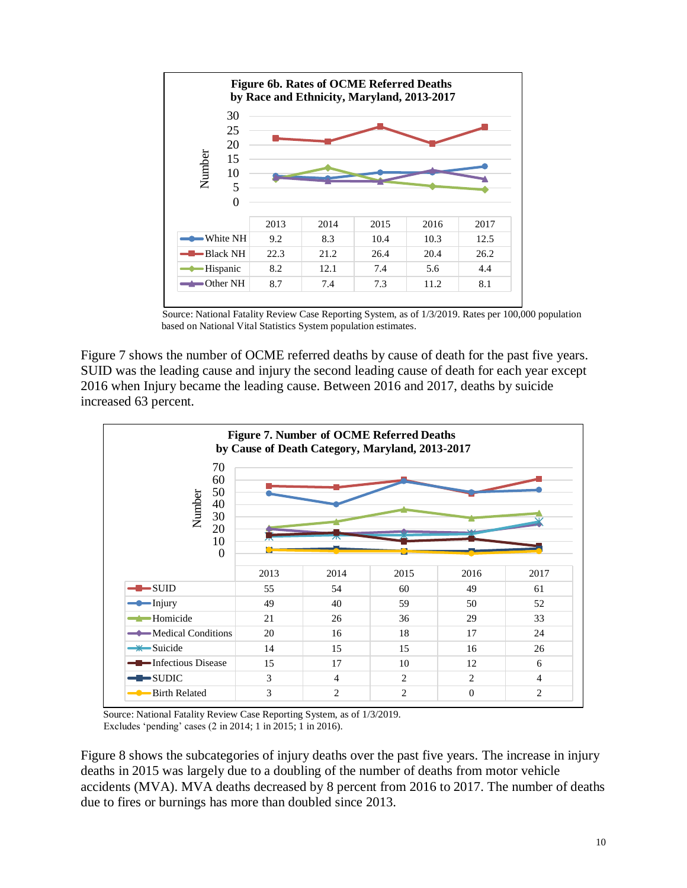

Source: National Fatality Review Case Reporting System, as of 1/3/2019. Rates per 100,000 population based on National Vital Statistics System population estimates.

Figure 7 shows the number of OCME referred deaths by cause of death for the past five years. SUID was the leading cause and injury the second leading cause of death for each year except 2016 when Injury became the leading cause. Between 2016 and 2017, deaths by suicide increased 63 percent.



Source: National Fatality Review Case Reporting System, as of 1/3/2019. Excludes 'pending' cases (2 in 2014; 1 in 2015; 1 in 2016).

Figure 8 shows the subcategories of injury deaths over the past five years. The increase in injury deaths in 2015 was largely due to a doubling of the number of deaths from motor vehicle accidents (MVA). MVA deaths decreased by 8 percent from 2016 to 2017. The number of deaths due to fires or burnings has more than doubled since 2013.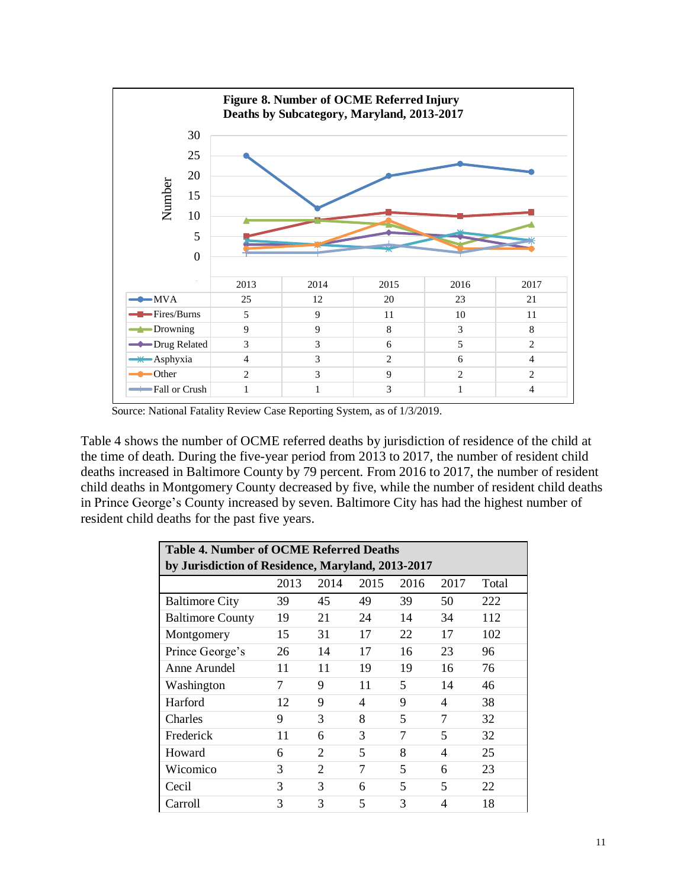

Source: National Fatality Review Case Reporting System, as of 1/3/2019.

Table 4 shows the number of OCME referred deaths by jurisdiction of residence of the child at the time of death. During the five-year period from 2013 to 2017, the number of resident child deaths increased in Baltimore County by 79 percent. From 2016 to 2017, the number of resident child deaths in Montgomery County decreased by five, while the number of resident child deaths in Prince George's County increased by seven. Baltimore City has had the highest number of resident child deaths for the past five years.

| <b>Table 4. Number of OCME Referred Deaths</b>    |      |                |                          |      |      |       |
|---------------------------------------------------|------|----------------|--------------------------|------|------|-------|
| by Jurisdiction of Residence, Maryland, 2013-2017 |      |                |                          |      |      |       |
|                                                   | 2013 | 2014           | 2015                     | 2016 | 2017 | Total |
| <b>Baltimore City</b>                             | 39   | 45             | 49                       | 39   | 50   | 222   |
| <b>Baltimore County</b>                           | 19   | 21             | 24                       | 14   | 34   | 112   |
| Montgomery                                        | 15   | 31             | 17                       | 22   | 17   | 102   |
| Prince George's                                   | 26   | 14             | 17                       | 16   | 23   | 96    |
| Anne Arundel                                      | 11   | 11             | 19                       | 19   | 16   | 76    |
| Washington                                        | 7    | 9              | 11                       | 5    | 14   | 46    |
| Harford                                           | 12   | 9              | $\overline{\mathcal{A}}$ | 9    | 4    | 38    |
| Charles                                           | 9    | 3              | 8                        | 5    | 7    | 32    |
| Frederick                                         | 11   | 6              | 3                        | 7    | 5    | 32    |
| Howard                                            | 6    | 2              | 5                        | 8    | 4    | 25    |
| Wicomico                                          | 3    | $\overline{2}$ | 7                        | 5    | 6    | 23    |
| Cecil                                             | 3    | 3              | 6                        | 5    | 5    | 22    |
| Carroll                                           | 3    | 3              | $\overline{\phantom{0}}$ | 3    | 4    | 18    |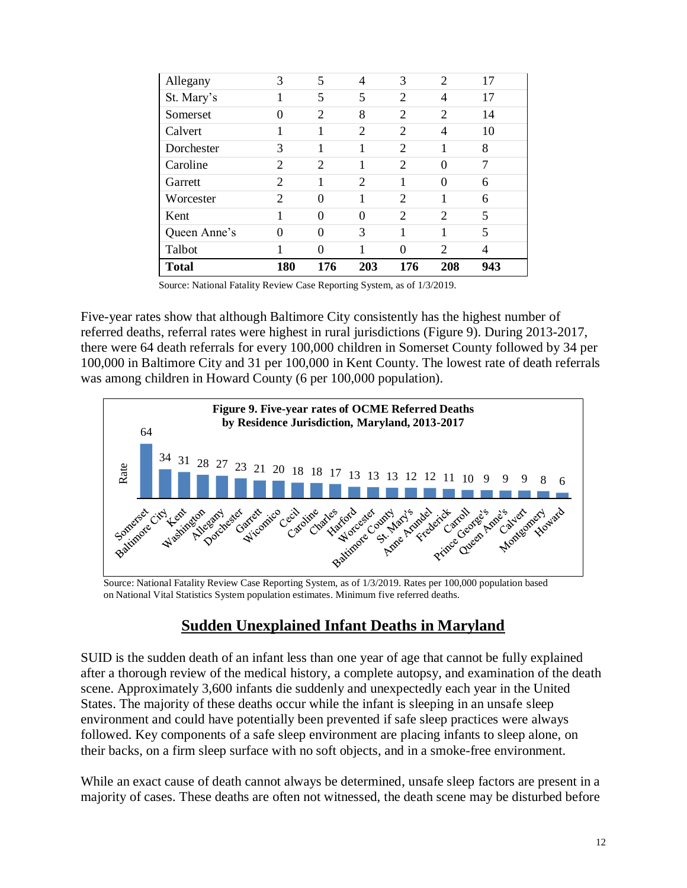| <b>Total</b> | 180            | 176      | 203            | 176            | 208            | 943 |  |
|--------------|----------------|----------|----------------|----------------|----------------|-----|--|
| Talbot       |                | 0        |                | $\Omega$       | $\overline{2}$ | 4   |  |
| Queen Anne's | 0              | 0        | 3              | 1              | 1              | 5   |  |
| Kent         | 1              | $\theta$ | $\Omega$       | $\overline{2}$ | 2              | 5   |  |
| Worcester    | $\overline{2}$ | $\Omega$ | 1              | $\overline{2}$ | 1              | 6   |  |
| Garrett      | $\overline{2}$ | 1        | $\overline{c}$ | 1              | $\theta$       | 6   |  |
| Caroline     | $\overline{2}$ | 2        | 1              | $\overline{2}$ | $\theta$       | 7   |  |
| Dorchester   | 3              | 1        | 1              | $\overline{c}$ | 1              | 8   |  |
| Calvert      |                |          | $\overline{2}$ | $\overline{2}$ | 4              | 10  |  |
| Somerset     | 0              | 2        | 8              | $\overline{2}$ | $\overline{2}$ | 14  |  |
| St. Mary's   |                | 5        | 5              | $\overline{2}$ | 4              | 17  |  |
| Allegany     | 3              | 5        | 4              | 3              | $\overline{2}$ | 17  |  |

Five-year rates show that although Baltimore City consistently has the highest number of referred deaths, referral rates were highest in rural jurisdictions (Figure 9). During 2013-2017, there were 64 death referrals for every 100,000 children in Somerset County followed by 34 per 100,000 in Baltimore City and 31 per 100,000 in Kent County. The lowest rate of death referrals was among children in Howard County (6 per 100,000 population).



Source: National Fatality Review Case Reporting System, as of 1/3/2019. Rates per 100,000 population based on National Vital Statistics System population estimates. Minimum five referred deaths.

## **Sudden Unexplained Infant Deaths in Maryland**

<span id="page-13-0"></span>SUID is the sudden death of an infant less than one year of age that cannot be fully explained after a thorough review of the medical history, a complete autopsy, and examination of the death scene. Approximately 3,600 infants die suddenly and unexpectedly each year in the United States. The majority of these deaths occur while the infant is sleeping in an unsafe sleep environment and could have potentially been prevented if safe sleep practices were always followed. Key components of a safe sleep environment are placing infants to sleep alone, on their backs, on a firm sleep surface with no soft objects, and in a smoke-free environment.

While an exact cause of death cannot always be determined, unsafe sleep factors are present in a majority of cases. These deaths are often not witnessed, the death scene may be disturbed before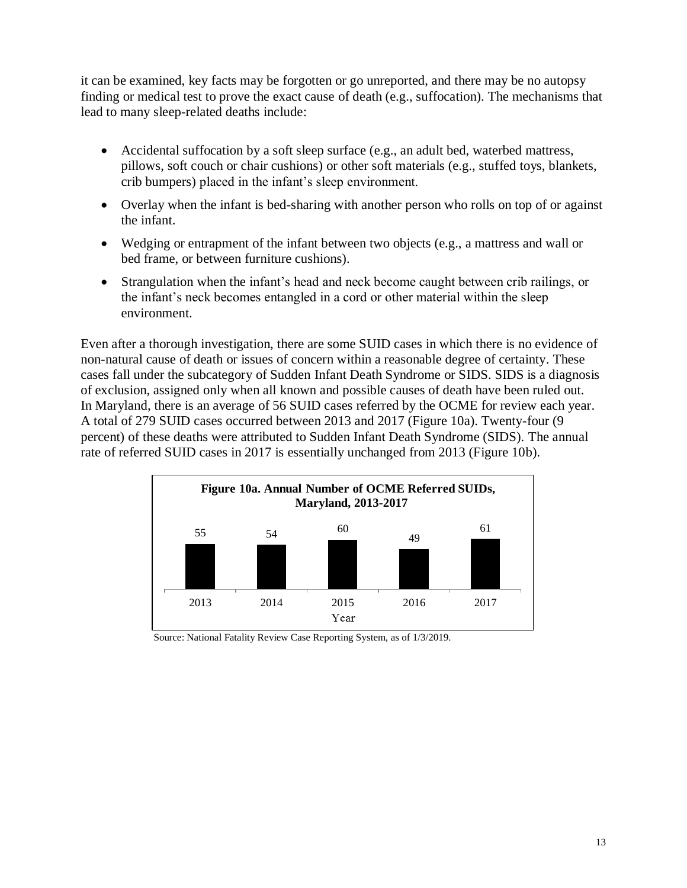it can be examined, key facts may be forgotten or go unreported, and there may be no autopsy finding or medical test to prove the exact cause of death (e.g., suffocation). The mechanisms that lead to many sleep-related deaths include:

- Accidental suffocation by a soft sleep surface (e.g., an adult bed, waterbed mattress, pillows, soft couch or chair cushions) or other soft materials (e.g., stuffed toys, blankets, crib bumpers) placed in the infant's sleep environment.
- Overlay when the infant is bed-sharing with another person who rolls on top of or against the infant.
- Wedging or entrapment of the infant between two objects (e.g., a mattress and wall or bed frame, or between furniture cushions).
- Strangulation when the infant's head and neck become caught between crib railings, or the infant's neck becomes entangled in a cord or other material within the sleep environment.

Even after a thorough investigation, there are some SUID cases in which there is no evidence of non-natural cause of death or issues of concern within a reasonable degree of certainty. These cases fall under the subcategory of Sudden Infant Death Syndrome or SIDS. SIDS is a diagnosis of exclusion, assigned only when all known and possible causes of death have been ruled out. In Maryland, there is an average of 56 SUID cases referred by the OCME for review each year. A total of 279 SUID cases occurred between 2013 and 2017 (Figure 10a). Twenty-four (9 percent) of these deaths were attributed to Sudden Infant Death Syndrome (SIDS). The annual rate of referred SUID cases in 2017 is essentially unchanged from 2013 (Figure 10b).



Source: National Fatality Review Case Reporting System, as of 1/3/2019.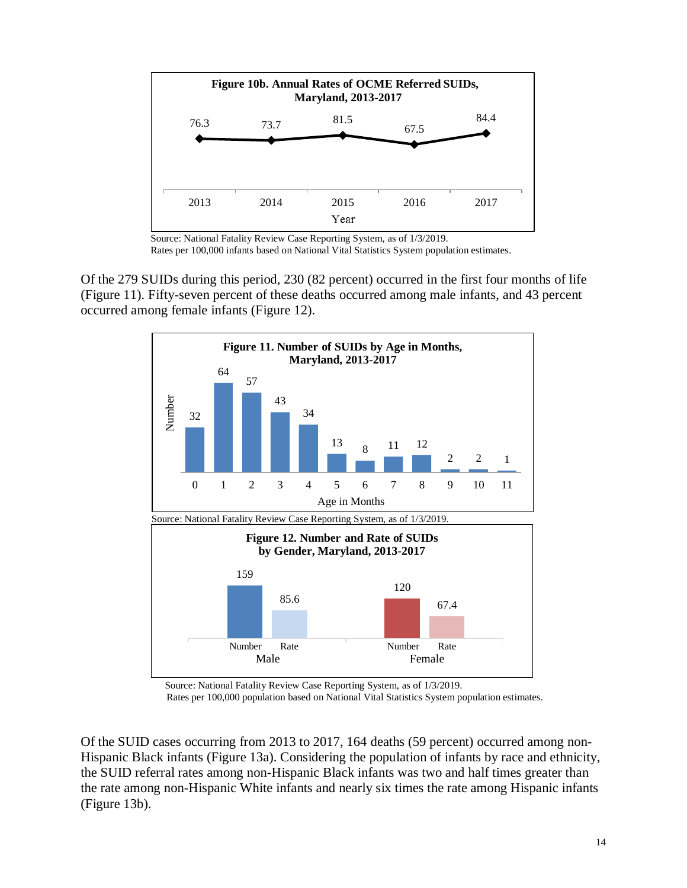

Source: National Fatality Review Case Reporting System, as of 1/3/2019. Rates per 100,000 infants based on National Vital Statistics System population estimates.

Of the 279 SUIDs during this period, 230 (82 percent) occurred in the first four months of life (Figure 11). Fifty-seven percent of these deaths occurred among male infants, and 43 percent occurred among female infants (Figure 12).



Source: National Fatality Review Case Reporting System, as of 1/3/2019.

Rates per 100,000 population based on National Vital Statistics System population estimates.

Of the SUID cases occurring from 2013 to 2017, 164 deaths (59 percent) occurred among non-Hispanic Black infants (Figure 13a). Considering the population of infants by race and ethnicity, the SUID referral rates among non-Hispanic Black infants was two and half times greater than the rate among non-Hispanic White infants and nearly six times the rate among Hispanic infants (Figure 13b).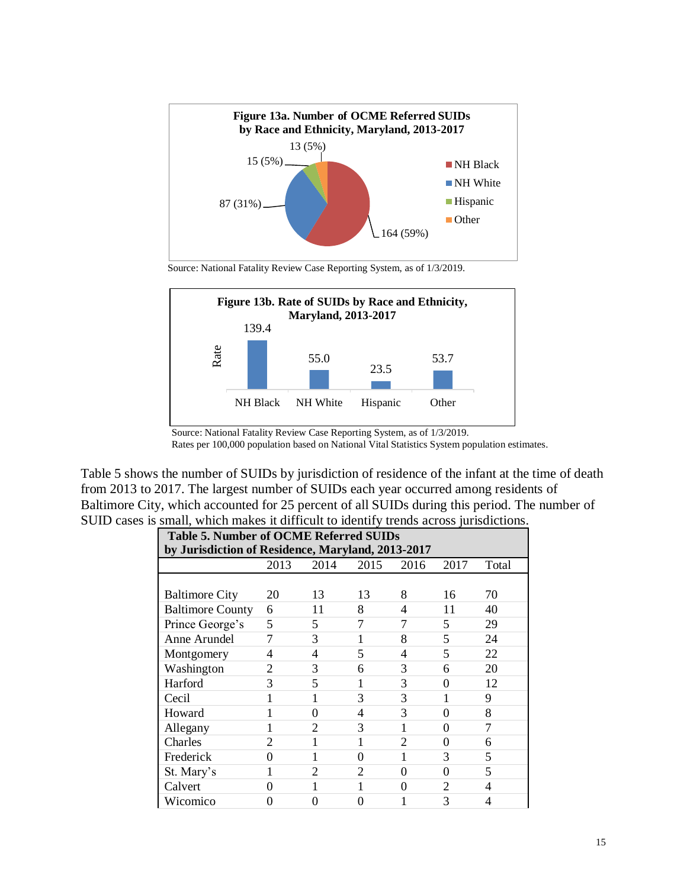

Source: National Fatality Review Case Reporting System, as of 1/3/2019.



Source: National Fatality Review Case Reporting System, as of 1/3/2019.

Rates per 100,000 population based on National Vital Statistics System population estimates.

Table 5 shows the number of SUIDs by jurisdiction of residence of the infant at the time of death from 2013 to 2017. The largest number of SUIDs each year occurred among residents of Baltimore City, which accounted for 25 percent of all SUIDs during this period. The number of SUID cases is small, which makes it difficult to identify trends across jurisdictions.

| <b>Table 5. Number of OCME Referred SUIDs</b>     |      |                |                |                |                |       |
|---------------------------------------------------|------|----------------|----------------|----------------|----------------|-------|
| by Jurisdiction of Residence, Maryland, 2013-2017 |      |                |                |                |                |       |
|                                                   | 2013 | 2014           | 2015           | 2016           | 2017           | Total |
|                                                   |      |                |                |                |                |       |
| <b>Baltimore City</b>                             | 20   | 13             | 13             | 8              | 16             | 70    |
| <b>Baltimore County</b>                           | 6    | 11             | 8              | 4              | 11             | 40    |
| Prince George's                                   | 5    | 5              | 7              | 7              | 5              | 29    |
| Anne Arundel                                      | 7    | 3              |                | 8              | 5              | 24    |
| Montgomery                                        | 4    | 4              | 5              | 4              | 5              | 22    |
| Washington                                        | 2    | 3              | 6              | 3              | 6              | 20    |
| Harford                                           | 3    | 5              |                | 3              | 0              | 12    |
| Cecil                                             | 1    |                | 3              | 3              |                | 9     |
| Howard                                            | 1    | 0              | 4              | 3              | 0              | 8     |
| Allegany                                          | 1    | 2              | 3              |                | 0              | 7     |
| Charles                                           | 2    |                | 1              | $\overline{2}$ | 0              | 6     |
| Frederick                                         | 0    |                | 0              |                | 3              | 5     |
| St. Mary's                                        | 1    | $\overline{2}$ | $\overline{c}$ | 0              | $\theta$       | 5     |
| Calvert                                           | 0    |                | 1              | 0              | $\overline{2}$ | 4     |
| Wicomico                                          | 0    | 0              | 0              |                | 3              | 4     |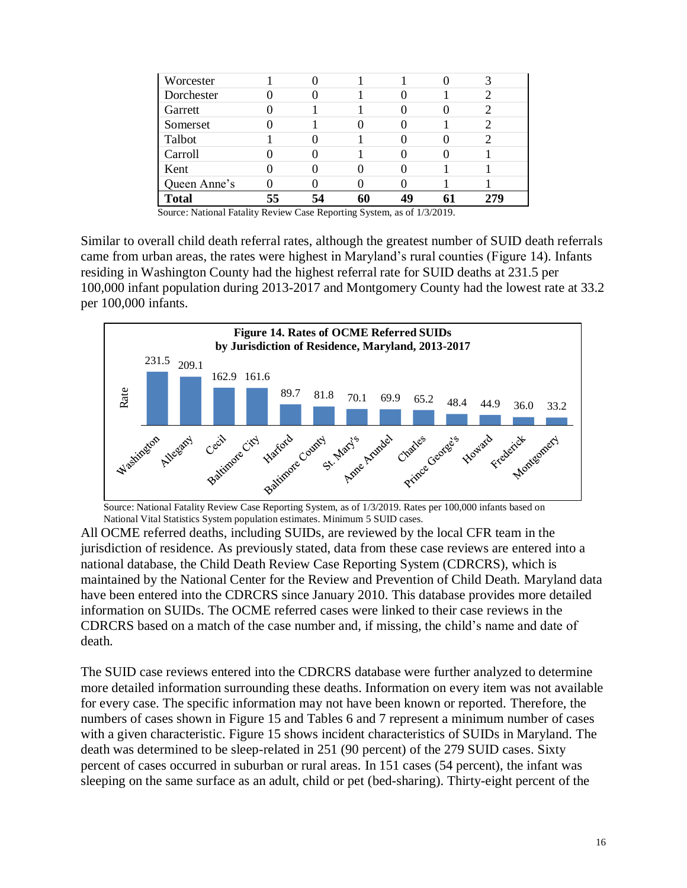| Worcester    |  |    |  |  |
|--------------|--|----|--|--|
| Dorchester   |  |    |  |  |
| Garrett      |  |    |  |  |
| Somerset     |  |    |  |  |
| Talbot       |  |    |  |  |
| Carroll      |  |    |  |  |
| Kent         |  |    |  |  |
| Queen Anne's |  |    |  |  |
| <b>Total</b> |  | 60 |  |  |

Similar to overall child death referral rates, although the greatest number of SUID death referrals came from urban areas, the rates were highest in Maryland's rural counties (Figure 14). Infants residing in Washington County had the highest referral rate for SUID deaths at 231.5 per 100,000 infant population during 2013-2017 and Montgomery County had the lowest rate at 33.2 per 100,000 infants.



 Source: National Fatality Review Case Reporting System, as of 1/3/2019. Rates per 100,000 infants based on National Vital Statistics System population estimates. Minimum 5 SUID cases.

All OCME referred deaths, including SUIDs, are reviewed by the local CFR team in the jurisdiction of residence. As previously stated, data from these case reviews are entered into a national database, the Child Death Review Case Reporting System (CDRCRS), which is maintained by the National Center for the Review and Prevention of Child Death. Maryland data have been entered into the CDRCRS since January 2010. This database provides more detailed information on SUIDs. The OCME referred cases were linked to their case reviews in the CDRCRS based on a match of the case number and, if missing, the child's name and date of death.

The SUID case reviews entered into the CDRCRS database were further analyzed to determine more detailed information surrounding these deaths. Information on every item was not available for every case. The specific information may not have been known or reported. Therefore, the numbers of cases shown in Figure 15 and Tables 6 and 7 represent a minimum number of cases with a given characteristic. Figure 15 shows incident characteristics of SUIDs in Maryland. The death was determined to be sleep-related in 251 (90 percent) of the 279 SUID cases. Sixty percent of cases occurred in suburban or rural areas. In 151 cases (54 percent), the infant was sleeping on the same surface as an adult, child or pet (bed-sharing). Thirty-eight percent of the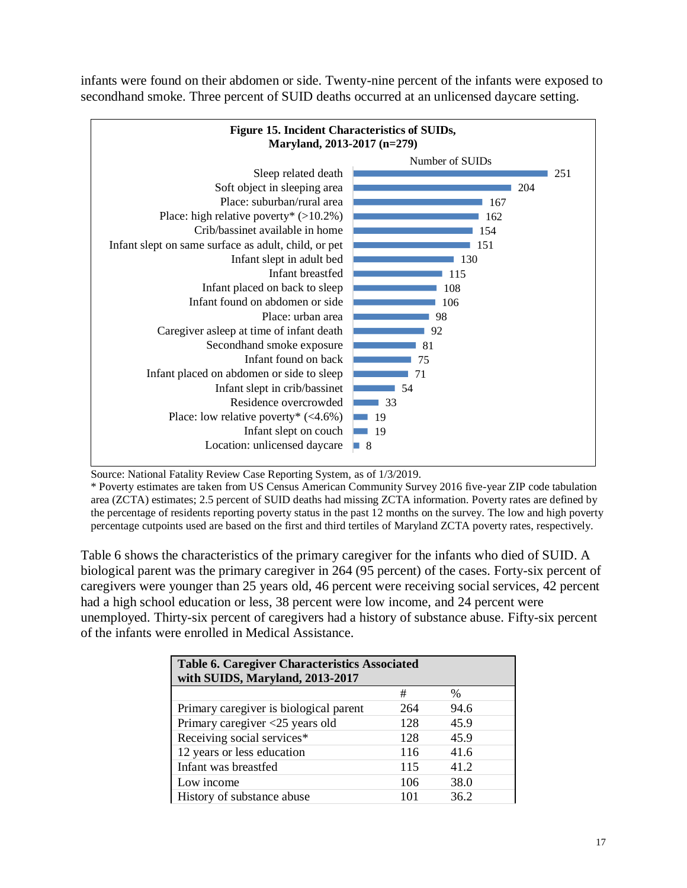infants were found on their abdomen or side. Twenty-nine percent of the infants were exposed to secondhand smoke. Three percent of SUID deaths occurred at an unlicensed daycare setting.



Source: National Fatality Review Case Reporting System, as of 1/3/2019.

\* Poverty estimates are taken from US Census American Community Survey 2016 five-year ZIP code tabulation area (ZCTA) estimates; 2.5 percent of SUID deaths had missing ZCTA information. Poverty rates are defined by the percentage of residents reporting poverty status in the past 12 months on the survey. The low and high poverty percentage cutpoints used are based on the first and third tertiles of Maryland ZCTA poverty rates, respectively.

Table 6 shows the characteristics of the primary caregiver for the infants who died of SUID. A biological parent was the primary caregiver in 264 (95 percent) of the cases. Forty-six percent of caregivers were younger than 25 years old, 46 percent were receiving social services, 42 percent had a high school education or less, 38 percent were low income, and 24 percent were unemployed. Thirty-six percent of caregivers had a history of substance abuse. Fifty-six percent of the infants were enrolled in Medical Assistance.

| <b>Table 6. Caregiver Characteristics Associated</b><br>with SUIDS, Maryland, 2013-2017 |     |      |  |  |  |
|-----------------------------------------------------------------------------------------|-----|------|--|--|--|
|                                                                                         | #   | $\%$ |  |  |  |
| Primary caregiver is biological parent                                                  | 264 | 94.6 |  |  |  |
| Primary caregiver <25 years old                                                         | 128 | 45.9 |  |  |  |
| Receiving social services*                                                              | 128 | 45.9 |  |  |  |
| 12 years or less education                                                              | 116 | 41.6 |  |  |  |
| Infant was breastfed                                                                    | 115 | 41.2 |  |  |  |
| Low income                                                                              | 106 | 38.0 |  |  |  |
| History of substance abuse                                                              | 101 | 36.2 |  |  |  |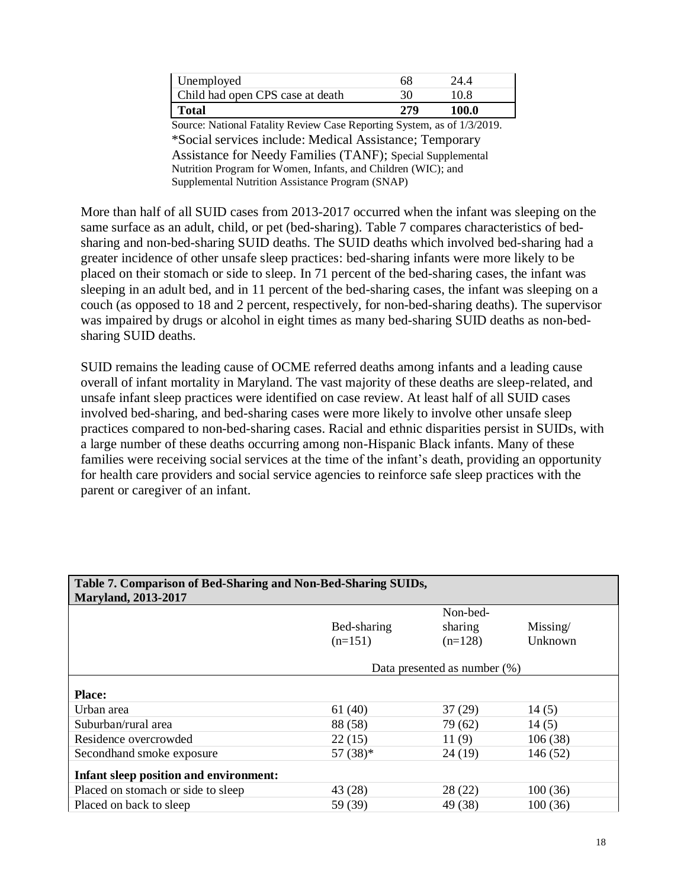| Unemployed                       | 68  | 24 4  |
|----------------------------------|-----|-------|
| Child had open CPS case at death | 30  | 10.8  |
| Total                            | 279 | 100.0 |

Source: National Fatality Review Case Reporting System, as of 1/3/2019. \*Social services include: Medical Assistance; Temporary Assistance for Needy Families (TANF); Special Supplemental Nutrition Program for Women, Infants, and Children (WIC); and Supplemental Nutrition Assistance Program (SNAP)

More than half of all SUID cases from 2013-2017 occurred when the infant was sleeping on the same surface as an adult, child, or pet (bed-sharing). Table 7 compares characteristics of bedsharing and non-bed-sharing SUID deaths. The SUID deaths which involved bed-sharing had a greater incidence of other unsafe sleep practices: bed-sharing infants were more likely to be placed on their stomach or side to sleep. In 71 percent of the bed-sharing cases, the infant was sleeping in an adult bed, and in 11 percent of the bed-sharing cases, the infant was sleeping on a couch (as opposed to 18 and 2 percent, respectively, for non-bed-sharing deaths). The supervisor was impaired by drugs or alcohol in eight times as many bed-sharing SUID deaths as non-bedsharing SUID deaths.

SUID remains the leading cause of OCME referred deaths among infants and a leading cause overall of infant mortality in Maryland. The vast majority of these deaths are sleep-related, and unsafe infant sleep practices were identified on case review. At least half of all SUID cases involved bed-sharing, and bed-sharing cases were more likely to involve other unsafe sleep practices compared to non-bed-sharing cases. Racial and ethnic disparities persist in SUIDs, with a large number of these deaths occurring among non-Hispanic Black infants. Many of these families were receiving social services at the time of the infant's death, providing an opportunity for health care providers and social service agencies to reinforce safe sleep practices with the parent or caregiver of an infant.

| Table 7. Comparison of Bed-Sharing and Non-Bed-Sharing SUIDs, |             |                                 |          |
|---------------------------------------------------------------|-------------|---------------------------------|----------|
| <b>Maryland, 2013-2017</b>                                    |             |                                 |          |
|                                                               |             | Non-bed-                        |          |
|                                                               | Bed-sharing | sharing                         | Missing/ |
|                                                               | $(n=151)$   | $(n=128)$                       | Unknown  |
|                                                               |             |                                 |          |
|                                                               |             | Data presented as number $(\%)$ |          |
|                                                               |             |                                 |          |
| <b>Place:</b>                                                 |             |                                 |          |
| Urban area                                                    | 61(40)      | 37(29)                          | 14(5)    |
| Suburban/rural area                                           | 88 (58)     | 79 (62)                         | 14(5)    |
| Residence overcrowded                                         | 22(15)      | 11(9)                           | 106(38)  |
| Secondhand smoke exposure                                     | $57(38)*$   | 24 (19)                         | 146(52)  |
|                                                               |             |                                 |          |
| <b>Infant sleep position and environment:</b>                 |             |                                 |          |
| Placed on stomach or side to sleep                            | 43 (28)     | 28(22)                          | 100(36)  |
| Placed on back to sleep                                       | 59 (39)     | 49 (38)                         | 100(36)  |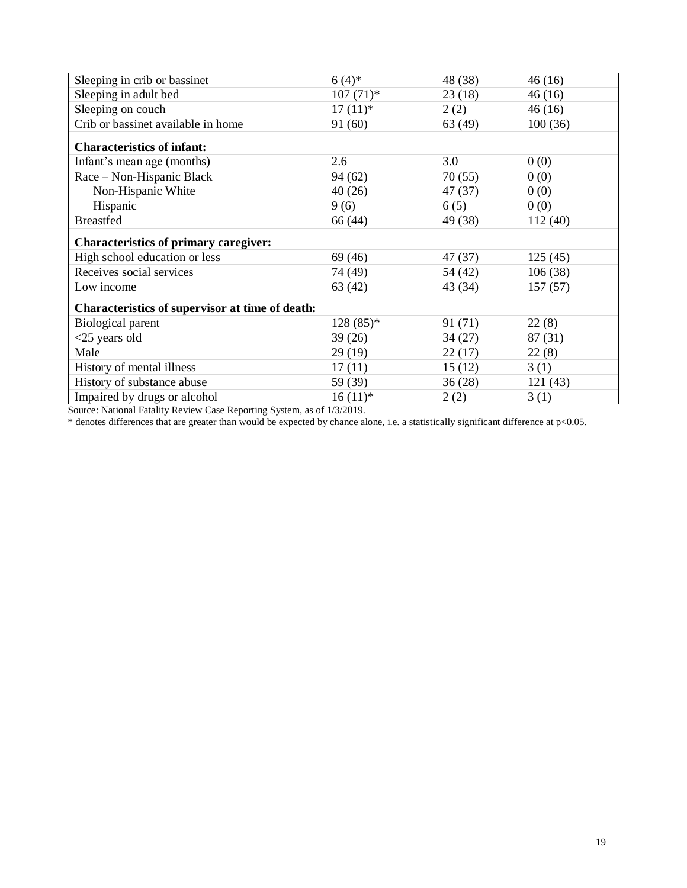| Sleeping in crib or bassinet                    | $6(4)$ *    | 48 (38) | 46(16)   |
|-------------------------------------------------|-------------|---------|----------|
| Sleeping in adult bed                           | $107(71)$ * | 23(18)  | 46(16)   |
| Sleeping on couch                               | $17(11)*$   | 2(2)    | 46(16)   |
| Crib or bassinet available in home              | 91 (60)     | 63(49)  | 100(36)  |
| <b>Characteristics of infant:</b>               |             |         |          |
| Infant's mean age (months)                      | 2.6         | 3.0     | 0(0)     |
| Race - Non-Hispanic Black                       | 94 (62)     | 70(55)  | 0(0)     |
| Non-Hispanic White                              | 40(26)      | 47 (37) | 0(0)     |
| Hispanic                                        | 9(6)        | 6(5)    | 0(0)     |
| <b>Breastfed</b>                                | 66 (44)     | 49 (38) | 112 (40) |
| <b>Characteristics of primary caregiver:</b>    |             |         |          |
| High school education or less                   | 69 (46)     | 47 (37) | 125(45)  |
| Receives social services                        | 74 (49)     | 54 (42) | 106(38)  |
| Low income                                      | 63(42)      | 43 (34) | 157(57)  |
| Characteristics of supervisor at time of death: |             |         |          |
| <b>Biological parent</b>                        | $128(85)*$  | 91 (71) | 22(8)    |
| $<$ 25 years old                                | 39(26)      | 34(27)  | 87(31)   |
| Male                                            | 29(19)      | 22(17)  | 22(8)    |
| History of mental illness                       | 17(11)      | 15(12)  | 3(1)     |
| History of substance abuse                      | 59 (39)     | 36(28)  | 121(43)  |
| Impaired by drugs or alcohol                    | $16(11)*$   | 2(2)    | 3(1)     |

\* denotes differences that are greater than would be expected by chance alone, i.e. a statistically significant difference at p<0.05.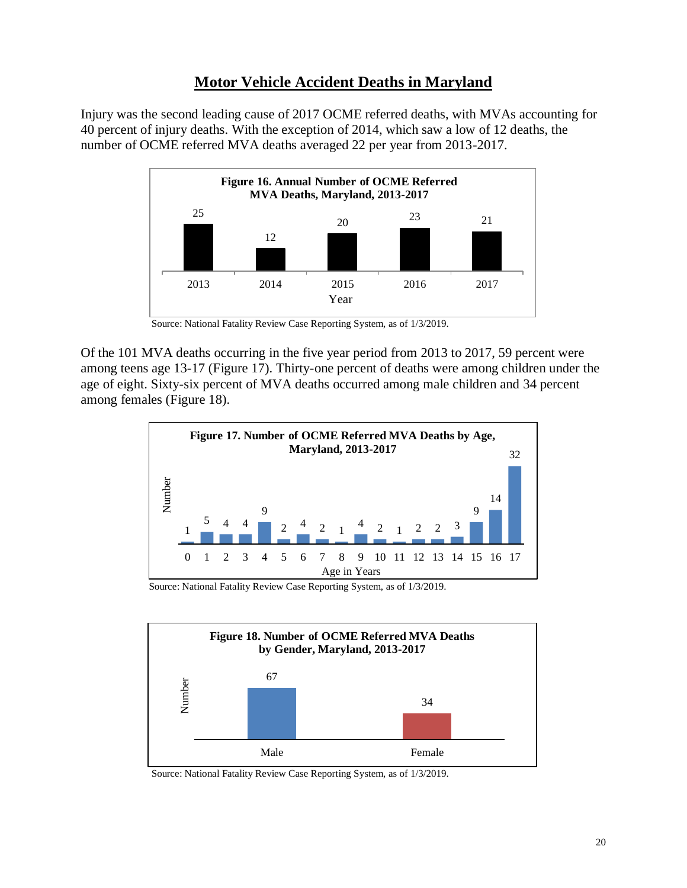## **Motor Vehicle Accident Deaths in Maryland**

<span id="page-21-0"></span>Injury was the second leading cause of 2017 OCME referred deaths, with MVAs accounting for 40 percent of injury deaths. With the exception of 2014, which saw a low of 12 deaths, the number of OCME referred MVA deaths averaged 22 per year from 2013-2017.



Source: National Fatality Review Case Reporting System, as of 1/3/2019.

Of the 101 MVA deaths occurring in the five year period from 2013 to 2017, 59 percent were among teens age 13-17 (Figure 17). Thirty-one percent of deaths were among children under the age of eight. Sixty-six percent of MVA deaths occurred among male children and 34 percent among females (Figure 18).



Source: National Fatality Review Case Reporting System, as of 1/3/2019.



Source: National Fatality Review Case Reporting System, as of 1/3/2019.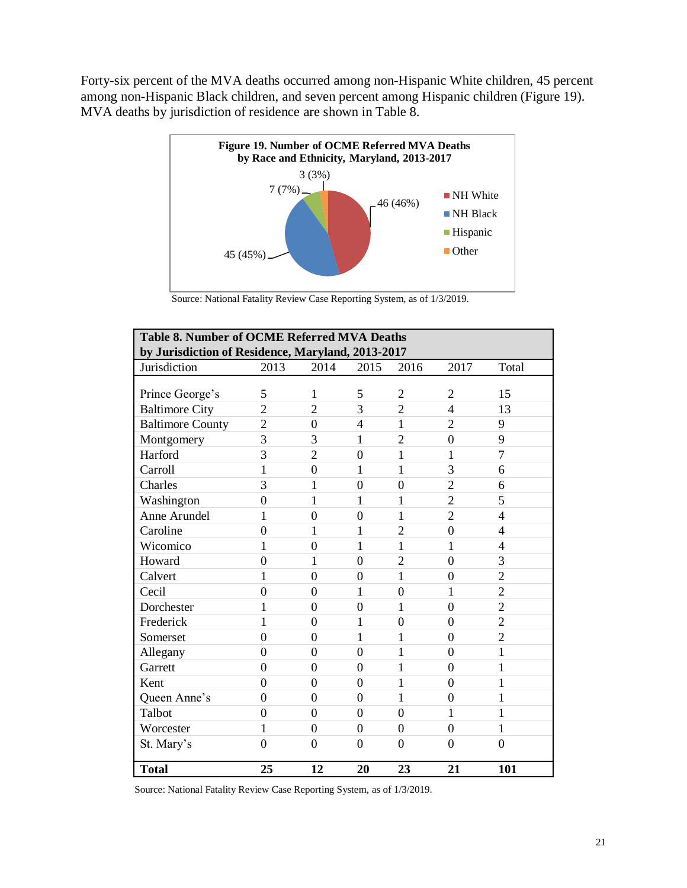Forty-six percent of the MVA deaths occurred among non-Hispanic White children, 45 percent among non-Hispanic Black children, and seven percent among Hispanic children (Figure 19). MVA deaths by jurisdiction of residence are shown in Table 8.



Source: National Fatality Review Case Reporting System, as of 1/3/2019.

| <b>Table 8. Number of OCME Referred MVA Deaths</b><br>by Jurisdiction of Residence, Maryland, 2013-2017 |                |                |                |                |                |                |
|---------------------------------------------------------------------------------------------------------|----------------|----------------|----------------|----------------|----------------|----------------|
| Jurisdiction                                                                                            | 2013           | 2014           | 2015           | 2016           | 2017           | Total          |
|                                                                                                         |                |                |                |                |                |                |
| Prince George's                                                                                         | 5              | 1              | 5              | $\overline{2}$ | $\overline{2}$ | 15             |
| <b>Baltimore City</b>                                                                                   | $\overline{2}$ | $\overline{2}$ | 3              | $\overline{2}$ | $\overline{4}$ | 13             |
| <b>Baltimore County</b>                                                                                 | $\overline{2}$ | $\overline{0}$ | $\overline{4}$ | 1              | $\overline{2}$ | 9              |
| Montgomery                                                                                              | $\overline{3}$ | 3              | 1              | $\overline{2}$ | $\overline{0}$ | 9              |
| Harford                                                                                                 | 3              | $\overline{2}$ | $\overline{0}$ | 1              | 1              | $\overline{7}$ |
| Carroll                                                                                                 | $\mathbf{1}$   | $\overline{0}$ | 1              | 1              | 3              | 6              |
| Charles                                                                                                 | 3              | $\mathbf{1}$   | $\overline{0}$ | $\mathbf{0}$   | $\overline{2}$ | 6              |
| Washington                                                                                              | $\overline{0}$ | $\mathbf{1}$   | 1              | 1              | $\overline{2}$ | 5              |
| Anne Arundel                                                                                            | 1              | $\overline{0}$ | $\overline{0}$ | 1              | $\overline{2}$ | 4              |
| Caroline                                                                                                | $\overline{0}$ | $\mathbf{1}$   | 1              | $\overline{2}$ | $\overline{0}$ | $\overline{4}$ |
| Wicomico                                                                                                | 1              | $\overline{0}$ | 1              | $\mathbf{1}$   | 1              | $\overline{4}$ |
| Howard                                                                                                  | $\overline{0}$ | $\mathbf{1}$   | $\overline{0}$ | $\overline{2}$ | $\overline{0}$ | 3              |
| Calvert                                                                                                 | 1              | $\overline{0}$ | $\overline{0}$ | 1              | $\overline{0}$ | $\overline{2}$ |
| Cecil                                                                                                   | $\overline{0}$ | $\overline{0}$ | $\mathbf{1}$   | $\overline{0}$ | 1              | $\overline{2}$ |
| Dorchester                                                                                              | 1              | $\overline{0}$ | $\overline{0}$ | 1              | $\mathbf{0}$   | $\overline{2}$ |
| Frederick                                                                                               | 1              | $\overline{0}$ | $\mathbf{1}$   | $\overline{0}$ | $\overline{0}$ | $\overline{2}$ |
| Somerset                                                                                                | $\overline{0}$ | $\overline{0}$ | 1              | 1              | $\overline{0}$ | $\overline{2}$ |
| Allegany                                                                                                | $\overline{0}$ | $\overline{0}$ | $\overline{0}$ | 1              | $\overline{0}$ | 1              |
| Garrett                                                                                                 | $\theta$       | $\overline{0}$ | $\overline{0}$ | 1              | $\overline{0}$ | 1              |
| Kent                                                                                                    | $\theta$       | $\overline{0}$ | $\overline{0}$ | 1              | $\overline{0}$ | 1              |
| Queen Anne's                                                                                            | $\theta$       | $\overline{0}$ | $\overline{0}$ | 1              | $\overline{0}$ | 1              |
| Talbot                                                                                                  | $\theta$       | $\overline{0}$ | $\overline{0}$ | $\overline{0}$ | 1              | 1              |
| Worcester                                                                                               | 1              | $\overline{0}$ | $\overline{0}$ | $\overline{0}$ | $\overline{0}$ | 1              |
| St. Mary's                                                                                              | $\theta$       | $\overline{0}$ | $\overline{0}$ | $\theta$       | $\theta$       | $\theta$       |
| <b>Total</b>                                                                                            | 25             | 12             | 20             | 23             | 21             | 101            |

Source: National Fatality Review Case Reporting System, as of 1/3/2019.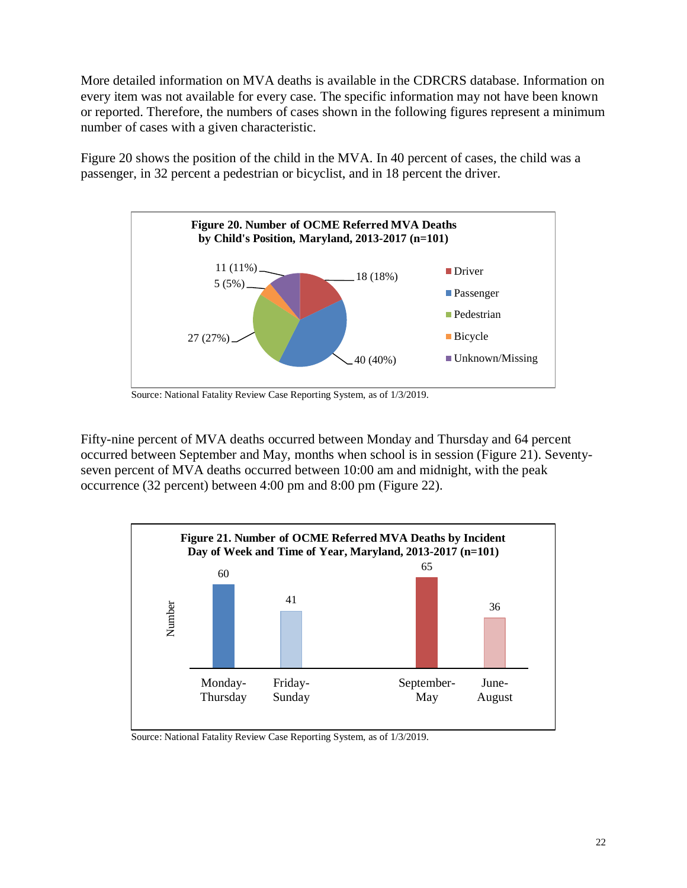More detailed information on MVA deaths is available in the CDRCRS database. Information on every item was not available for every case. The specific information may not have been known or reported. Therefore, the numbers of cases shown in the following figures represent a minimum number of cases with a given characteristic.

Figure 20 shows the position of the child in the MVA. In 40 percent of cases, the child was a passenger, in 32 percent a pedestrian or bicyclist, and in 18 percent the driver.



Source: National Fatality Review Case Reporting System, as of 1/3/2019.

Fifty-nine percent of MVA deaths occurred between Monday and Thursday and 64 percent occurred between September and May, months when school is in session (Figure 21). Seventyseven percent of MVA deaths occurred between 10:00 am and midnight, with the peak occurrence (32 percent) between 4:00 pm and 8:00 pm (Figure 22).



Source: National Fatality Review Case Reporting System, as of 1/3/2019.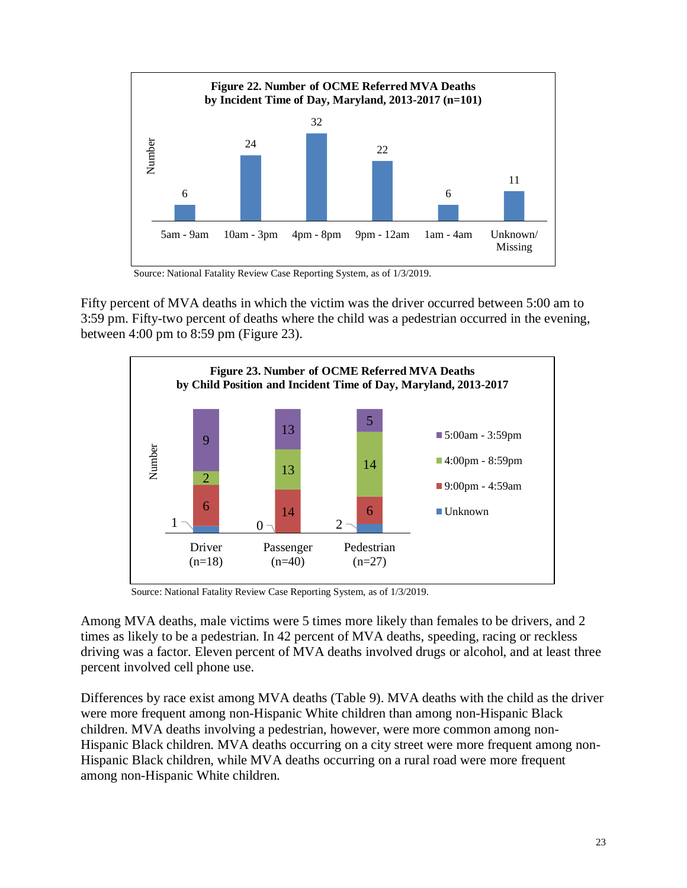

Source: National Fatality Review Case Reporting System, as of 1/3/2019.

Fifty percent of MVA deaths in which the victim was the driver occurred between 5:00 am to 3:59 pm. Fifty-two percent of deaths where the child was a pedestrian occurred in the evening, between 4:00 pm to 8:59 pm (Figure 23).



Source: National Fatality Review Case Reporting System, as of 1/3/2019.

Among MVA deaths, male victims were 5 times more likely than females to be drivers, and 2 times as likely to be a pedestrian. In 42 percent of MVA deaths, speeding, racing or reckless driving was a factor. Eleven percent of MVA deaths involved drugs or alcohol, and at least three percent involved cell phone use.

Differences by race exist among MVA deaths (Table 9). MVA deaths with the child as the driver were more frequent among non-Hispanic White children than among non-Hispanic Black children. MVA deaths involving a pedestrian, however, were more common among non-Hispanic Black children. MVA deaths occurring on a city street were more frequent among non-Hispanic Black children, while MVA deaths occurring on a rural road were more frequent among non-Hispanic White children.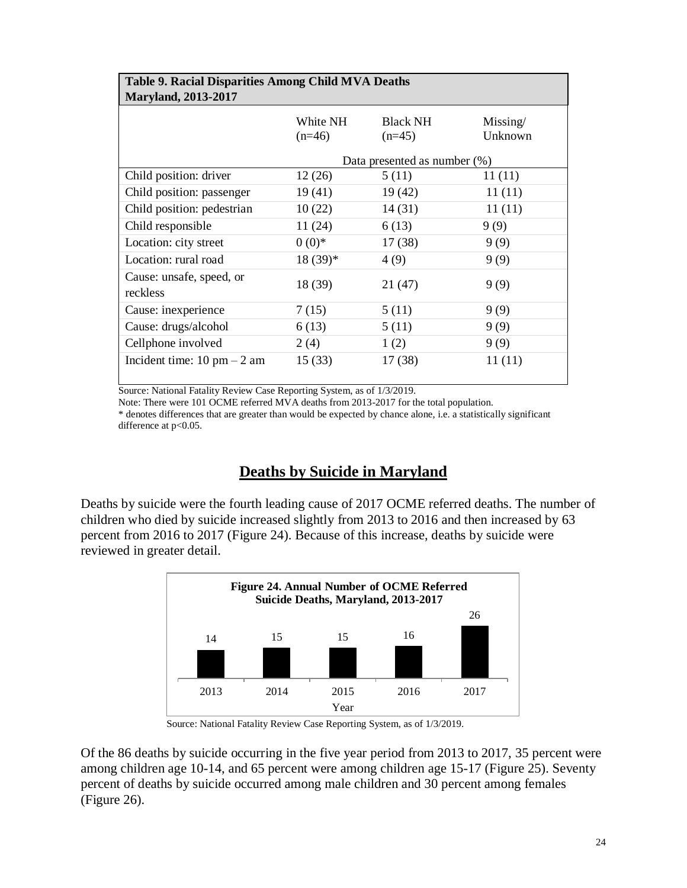| <b>Table 9. Racial Disparities Among Child MVA Deaths</b> |                      |                                 |                     |  |
|-----------------------------------------------------------|----------------------|---------------------------------|---------------------|--|
| <b>Maryland, 2013-2017</b>                                |                      |                                 |                     |  |
|                                                           | White NH<br>$(n=46)$ | <b>Black NH</b><br>$(n=45)$     | Missing/<br>Unknown |  |
|                                                           |                      | Data presented as number $(\%)$ |                     |  |
| Child position: driver                                    | 12(26)               | 5(11)                           | 11(11)              |  |
| Child position: passenger                                 | 19(41)               | 19(42)                          | 11(11)              |  |
| Child position: pedestrian                                | 10(22)               | 14(31)                          | 11(11)              |  |
| Child responsible                                         | 11 (24)              | 6(13)                           | 9(9)                |  |
| Location: city street                                     | $0(0)*$              | 17(38)                          | 9(9)                |  |
| Location: rural road                                      | $18(39)*$            | 4(9)                            | 9(9)                |  |
| Cause: unsafe, speed, or<br>reckless                      | 18 (39)              | 21 (47)                         | 9(9)                |  |
| Cause: inexperience                                       | 7(15)                | 5(11)                           | 9(9)                |  |
| Cause: drugs/alcohol                                      | 6(13)                | 5(11)                           | 9(9)                |  |
| Cellphone involved                                        | 2(4)                 | 1(2)                            | 9(9)                |  |
| Incident time: $10 \text{ pm} - 2 \text{ am}$             | 15(33)               | 17(38)                          | 11(11)              |  |

Note: There were 101 OCME referred MVA deaths from 2013-2017 for the total population.

\* denotes differences that are greater than would be expected by chance alone, i.e. a statistically significant difference at p<0.05.

### **Deaths by Suicide in Maryland**

<span id="page-25-0"></span>Deaths by suicide were the fourth leading cause of 2017 OCME referred deaths. The number of children who died by suicide increased slightly from 2013 to 2016 and then increased by 63 percent from 2016 to 2017 (Figure 24). Because of this increase, deaths by suicide were reviewed in greater detail.



Source: National Fatality Review Case Reporting System, as of 1/3/2019.

Of the 86 deaths by suicide occurring in the five year period from 2013 to 2017, 35 percent were among children age 10-14, and 65 percent were among children age 15-17 (Figure 25). Seventy percent of deaths by suicide occurred among male children and 30 percent among females (Figure 26).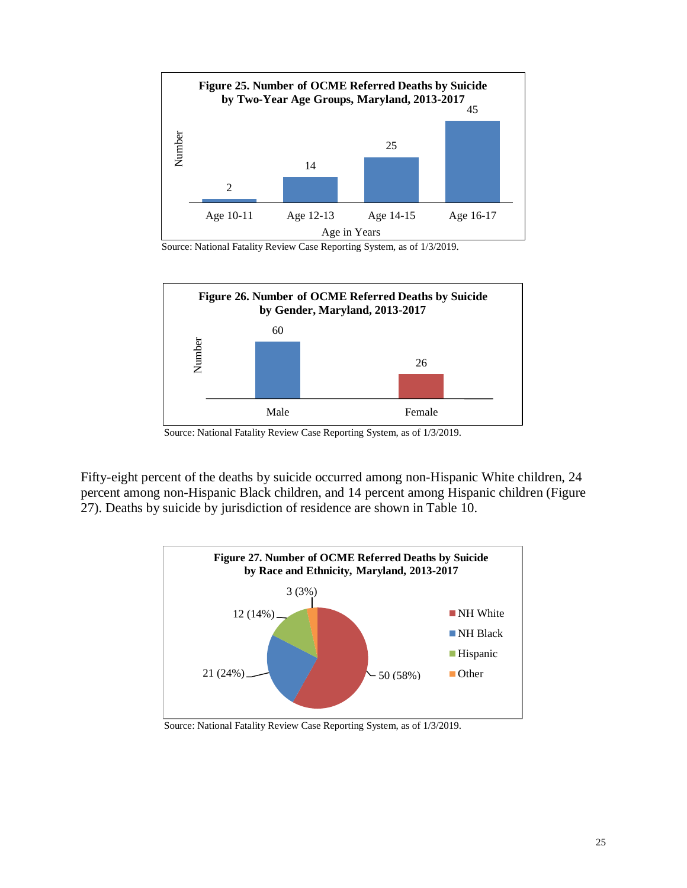

Source: National Fatality Review Case Reporting System, as of 1/3/2019.



Source: National Fatality Review Case Reporting System, as of 1/3/2019.

Fifty-eight percent of the deaths by suicide occurred among non-Hispanic White children, 24 percent among non-Hispanic Black children, and 14 percent among Hispanic children (Figure 27). Deaths by suicide by jurisdiction of residence are shown in Table 10.



Source: National Fatality Review Case Reporting System, as of 1/3/2019.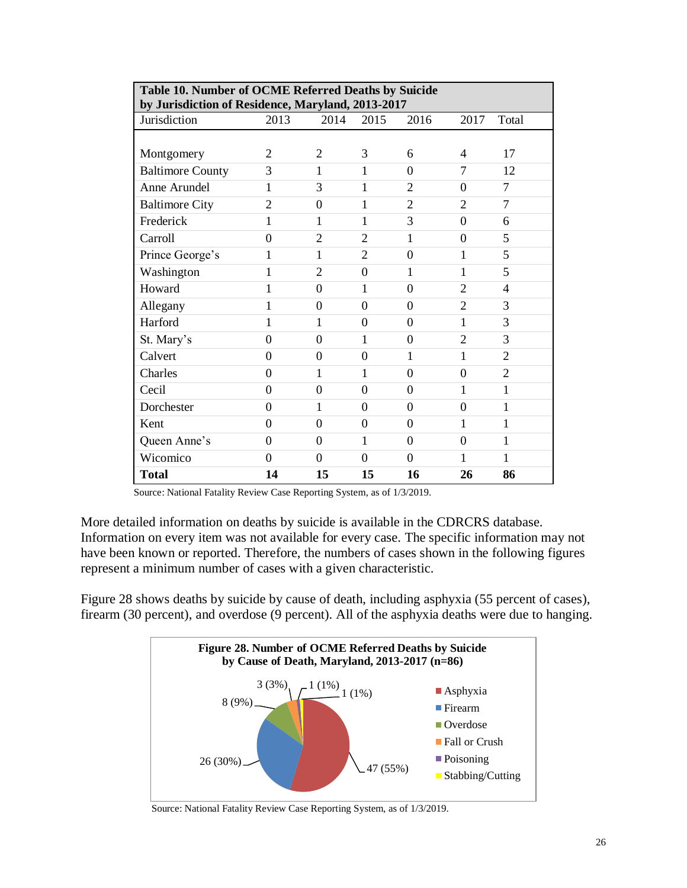| Table 10. Number of OCME Referred Deaths by Suicide |                |                |                |                |                |                |
|-----------------------------------------------------|----------------|----------------|----------------|----------------|----------------|----------------|
| by Jurisdiction of Residence, Maryland, 2013-2017   |                |                |                |                |                |                |
| Jurisdiction                                        | 2013           | 2014           | 2015           | 2016           | 2017           | Total          |
|                                                     |                |                |                |                |                |                |
| Montgomery                                          | $\overline{2}$ | $\overline{2}$ | 3              | 6              | 4              | 17             |
| <b>Baltimore County</b>                             | 3              | 1              | 1              | $\Omega$       | 7              | 12             |
| Anne Arundel                                        | 1              | 3              | 1              | $\overline{2}$ | $\overline{0}$ | 7              |
| <b>Baltimore City</b>                               | $\overline{2}$ | $\Omega$       | 1              | $\overline{2}$ | $\overline{2}$ | 7              |
| Frederick                                           | 1              | 1              | 1              | 3              | $\overline{0}$ | 6              |
| Carroll                                             | $\overline{0}$ | $\overline{2}$ | $\overline{2}$ | 1              | $\overline{0}$ | 5              |
| Prince George's                                     | 1              | 1              | $\overline{2}$ | $\theta$       | 1              | 5              |
| Washington                                          | 1              | $\overline{2}$ | $\theta$       | 1              | 1              | 5              |
| Howard                                              | $\mathbf{1}$   | $\overline{0}$ | $\mathbf{1}$   | $\theta$       | $\overline{2}$ | $\overline{4}$ |
| Allegany                                            | 1              | $\Omega$       | $\overline{0}$ | $\overline{0}$ | $\overline{2}$ | 3              |
| Harford                                             |                |                | $\theta$       | $\Omega$       | 1              | 3              |
| St. Mary's                                          | $\overline{0}$ | $\theta$       | 1              | $\theta$       | $\overline{2}$ | 3              |
| Calvert                                             | $\overline{0}$ | $\Omega$       | $\Omega$       | 1              | 1              | $\overline{2}$ |
| Charles                                             | $\overline{0}$ | 1              | 1              | $\Omega$       | $\overline{0}$ | $\overline{2}$ |
| Cecil                                               | $\overline{0}$ | $\overline{0}$ | $\overline{0}$ | $\overline{0}$ | 1              | 1              |
| Dorchester                                          | $\theta$       | 1              | $\Omega$       | $\theta$       | $\overline{0}$ | 1              |
| Kent                                                | $\overline{0}$ | $\theta$       | $\theta$       | $\theta$       | 1              | $\mathbf{1}$   |
| Queen Anne's                                        | $\overline{0}$ | $\overline{0}$ | 1              | $\theta$       | $\overline{0}$ | $\mathbf{1}$   |
| Wicomico                                            | $\theta$       | $\Omega$       | $\Omega$       | $\Omega$       | 1              | 1              |
| <b>Total</b>                                        | 14             | 15             | 15             | 16             | 26             | 86             |

More detailed information on deaths by suicide is available in the CDRCRS database. Information on every item was not available for every case. The specific information may not have been known or reported. Therefore, the numbers of cases shown in the following figures represent a minimum number of cases with a given characteristic.

Figure 28 shows deaths by suicide by cause of death, including asphyxia (55 percent of cases), firearm (30 percent), and overdose (9 percent). All of the asphyxia deaths were due to hanging.



Source: National Fatality Review Case Reporting System, as of 1/3/2019.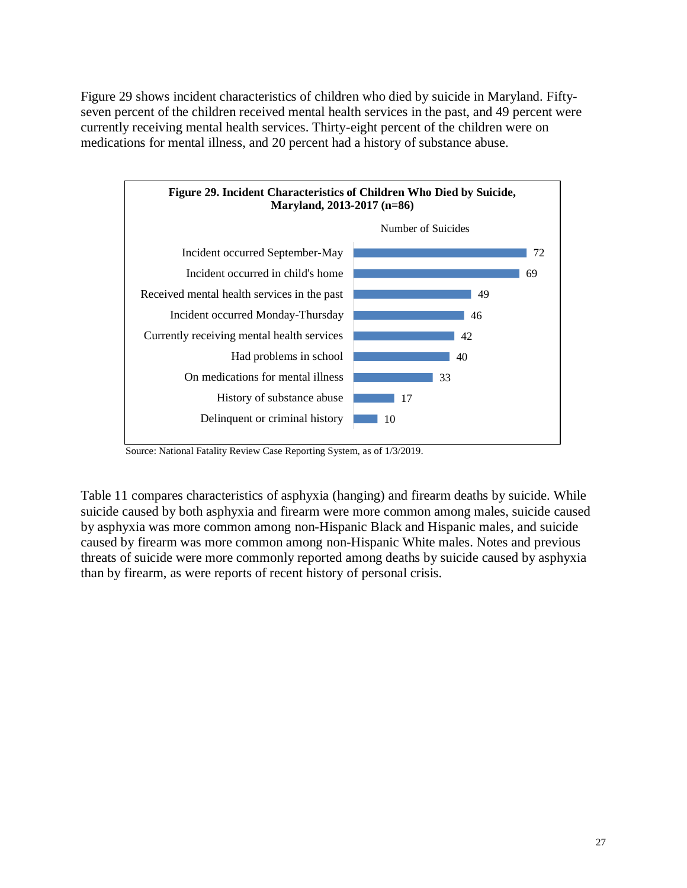Figure 29 shows incident characteristics of children who died by suicide in Maryland. Fiftyseven percent of the children received mental health services in the past, and 49 percent were currently receiving mental health services. Thirty-eight percent of the children were on medications for mental illness, and 20 percent had a history of substance abuse.



Source: National Fatality Review Case Reporting System, as of 1/3/2019.

Table 11 compares characteristics of asphyxia (hanging) and firearm deaths by suicide. While suicide caused by both asphyxia and firearm were more common among males, suicide caused by asphyxia was more common among non-Hispanic Black and Hispanic males, and suicide caused by firearm was more common among non-Hispanic White males. Notes and previous threats of suicide were more commonly reported among deaths by suicide caused by asphyxia than by firearm, as were reports of recent history of personal crisis.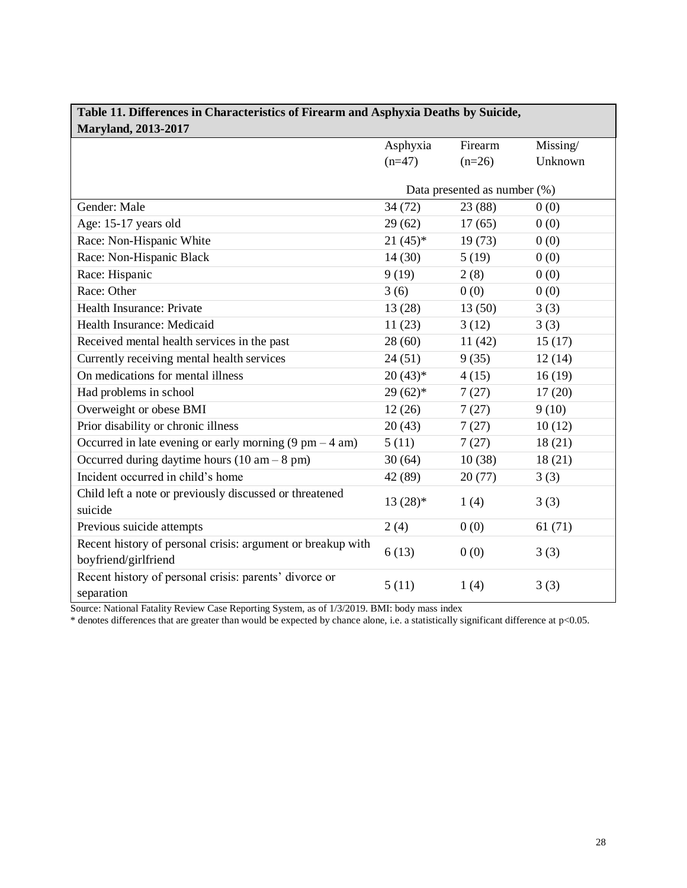| Table 11. Differences in Characteristics of Firearm and Asphyxia Deaths by Suicide, |                              |          |          |
|-------------------------------------------------------------------------------------|------------------------------|----------|----------|
| <b>Maryland, 2013-2017</b>                                                          |                              |          |          |
|                                                                                     | Asphyxia                     | Firearm  | Missing/ |
|                                                                                     | $(n=47)$                     | $(n=26)$ | Unknown  |
|                                                                                     | Data presented as number (%) |          |          |
| Gender: Male                                                                        | 34 (72)                      | 23 (88)  | 0(0)     |
| Age: 15-17 years old                                                                | 29(62)                       | 17(65)   | 0(0)     |
| Race: Non-Hispanic White                                                            | $21(45)*$                    | 19(73)   | 0(0)     |
| Race: Non-Hispanic Black                                                            | 14(30)                       | 5(19)    | 0(0)     |
| Race: Hispanic                                                                      | 9(19)                        | 2(8)     | 0(0)     |
| Race: Other                                                                         | 3(6)                         | 0(0)     | 0(0)     |
| Health Insurance: Private                                                           | 13(28)                       | 13(50)   | 3(3)     |
| Health Insurance: Medicaid                                                          | 11(23)                       | 3(12)    | 3(3)     |
| Received mental health services in the past                                         | 28(60)                       | 11(42)   | 15(17)   |
| Currently receiving mental health services                                          | 24(51)                       | 9(35)    | 12(14)   |
| On medications for mental illness                                                   | $20(43)*$                    | 4(15)    | 16(19)   |
| Had problems in school                                                              | $29(62)*$                    | 7(27)    | 17(20)   |
| Overweight or obese BMI                                                             | 12(26)                       | 7(27)    | 9(10)    |
| Prior disability or chronic illness                                                 | 20(43)                       | 7(27)    | 10(12)   |
| Occurred in late evening or early morning $(9 \text{ pm} - 4 \text{ am})$           | 5(11)                        | 7(27)    | 18(21)   |
| Occurred during daytime hours $(10 am - 8 pm)$                                      | 30(64)                       | 10(38)   | 18(21)   |
| Incident occurred in child's home                                                   | 42 (89)                      | 20(77)   | 3(3)     |
| Child left a note or previously discussed or threatened<br>suicide                  | $13(28)*$                    | 1(4)     | 3(3)     |
| Previous suicide attempts                                                           | 2(4)                         | 0(0)     | 61(71)   |
| Recent history of personal crisis: argument or breakup with<br>boyfriend/girlfriend | 6(13)                        | 0(0)     | 3(3)     |
| Recent history of personal crisis: parents' divorce or<br>separation                | 5(11)                        | 1(4)     | 3(3)     |

# **Table 11. Differences in Characteristics of Firearm and Asphyxia Deaths by Suicide,**

Source: National Fatality Review Case Reporting System, as of 1/3/2019. BMI: body mass index

\* denotes differences that are greater than would be expected by chance alone, i.e. a statistically significant difference at p<0.05.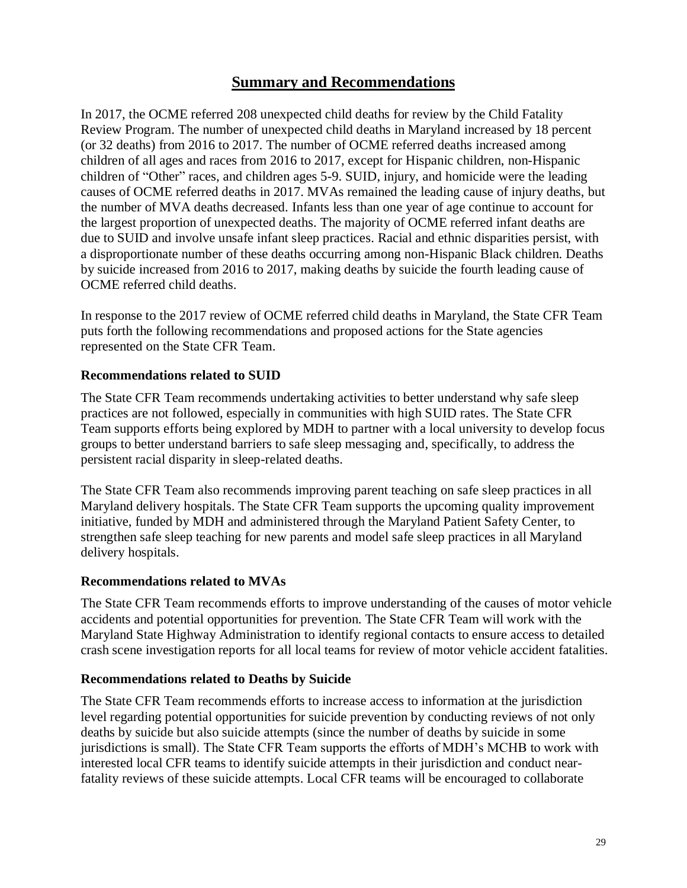## **Summary and Recommendations**

<span id="page-30-0"></span>In 2017, the OCME referred 208 unexpected child deaths for review by the Child Fatality Review Program. The number of unexpected child deaths in Maryland increased by 18 percent (or 32 deaths) from 2016 to 2017. The number of OCME referred deaths increased among children of all ages and races from 2016 to 2017, except for Hispanic children, non-Hispanic children of "Other" races, and children ages 5-9. SUID, injury, and homicide were the leading causes of OCME referred deaths in 2017. MVAs remained the leading cause of injury deaths, but the number of MVA deaths decreased. Infants less than one year of age continue to account for the largest proportion of unexpected deaths. The majority of OCME referred infant deaths are due to SUID and involve unsafe infant sleep practices. Racial and ethnic disparities persist, with a disproportionate number of these deaths occurring among non-Hispanic Black children. Deaths by suicide increased from 2016 to 2017, making deaths by suicide the fourth leading cause of OCME referred child deaths.

In response to the 2017 review of OCME referred child deaths in Maryland, the State CFR Team puts forth the following recommendations and proposed actions for the State agencies represented on the State CFR Team.

### **Recommendations related to SUID**

The State CFR Team recommends undertaking activities to better understand why safe sleep practices are not followed, especially in communities with high SUID rates. The State CFR Team supports efforts being explored by MDH to partner with a local university to develop focus groups to better understand barriers to safe sleep messaging and, specifically, to address the persistent racial disparity in sleep-related deaths.

The State CFR Team also recommends improving parent teaching on safe sleep practices in all Maryland delivery hospitals. The State CFR Team supports the upcoming quality improvement initiative, funded by MDH and administered through the Maryland Patient Safety Center, to strengthen safe sleep teaching for new parents and model safe sleep practices in all Maryland delivery hospitals.

### **Recommendations related to MVAs**

The State CFR Team recommends efforts to improve understanding of the causes of motor vehicle accidents and potential opportunities for prevention. The State CFR Team will work with the Maryland State Highway Administration to identify regional contacts to ensure access to detailed crash scene investigation reports for all local teams for review of motor vehicle accident fatalities.

### **Recommendations related to Deaths by Suicide**

The State CFR Team recommends efforts to increase access to information at the jurisdiction level regarding potential opportunities for suicide prevention by conducting reviews of not only deaths by suicide but also suicide attempts (since the number of deaths by suicide in some jurisdictions is small). The State CFR Team supports the efforts of MDH's MCHB to work with interested local CFR teams to identify suicide attempts in their jurisdiction and conduct nearfatality reviews of these suicide attempts. Local CFR teams will be encouraged to collaborate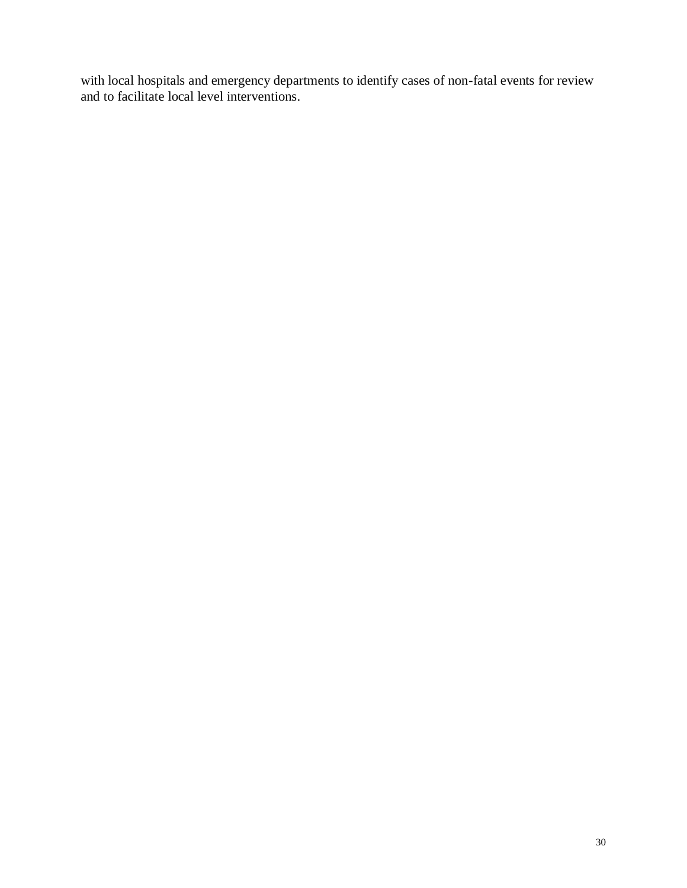with local hospitals and emergency departments to identify cases of non-fatal events for review and to facilitate local level interventions.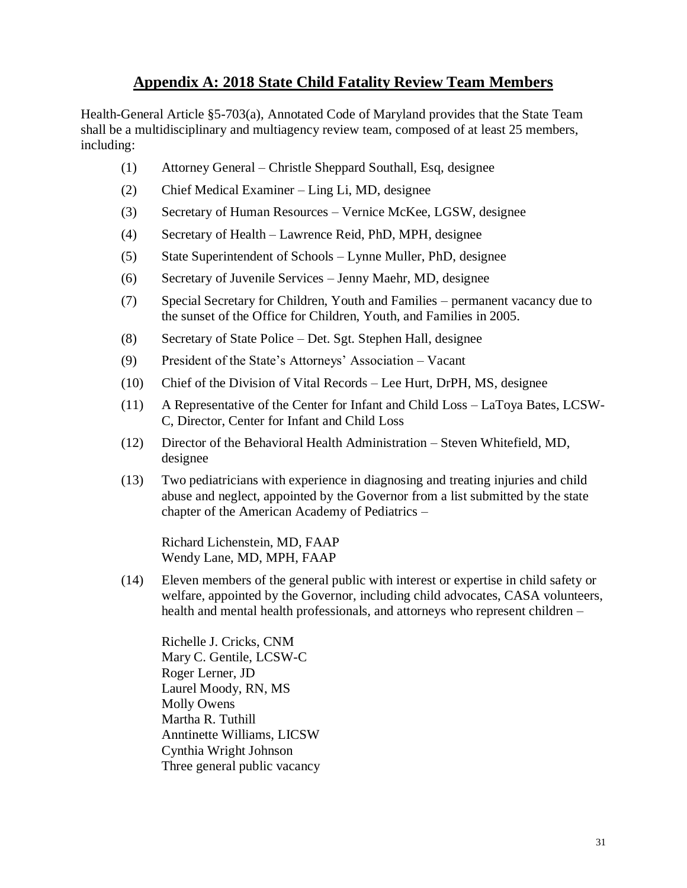## **Appendix A: 2018 State Child Fatality Review Team Members**

<span id="page-32-0"></span>Health-General Article §5-703(a), Annotated Code of Maryland provides that the State Team shall be a multidisciplinary and multiagency review team, composed of at least 25 members, including:

- (1) Attorney General Christle Sheppard Southall, Esq, designee
- (2) Chief Medical Examiner Ling Li, MD, designee
- (3) Secretary of Human Resources Vernice McKee, LGSW, designee
- (4) Secretary of Health Lawrence Reid, PhD, MPH, designee
- (5) State Superintendent of Schools Lynne Muller, PhD, designee
- (6) Secretary of Juvenile Services Jenny Maehr, MD, designee
- (7) Special Secretary for Children, Youth and Families permanent vacancy due to the sunset of the Office for Children, Youth, and Families in 2005.
- (8) Secretary of State Police Det. Sgt. Stephen Hall, designee
- (9) President of the State's Attorneys' Association Vacant
- (10) Chief of the Division of Vital Records Lee Hurt, DrPH, MS, designee
- (11) A Representative of the Center for Infant and Child Loss LaToya Bates, LCSW-C, Director, Center for Infant and Child Loss
- (12) Director of the Behavioral Health Administration Steven Whitefield, MD, designee
- (13) Two pediatricians with experience in diagnosing and treating injuries and child abuse and neglect, appointed by the Governor from a list submitted by the state chapter of the American Academy of Pediatrics –

Richard Lichenstein, MD, FAAP Wendy Lane, MD, MPH, FAAP

(14) Eleven members of the general public with interest or expertise in child safety or welfare, appointed by the Governor, including child advocates, CASA volunteers, health and mental health professionals, and attorneys who represent children –

Richelle J. Cricks, CNM Mary C. Gentile, LCSW-C Roger Lerner, JD Laurel Moody, RN, MS Molly Owens Martha R. Tuthill Anntinette Williams, LICSW Cynthia Wright Johnson Three general public vacancy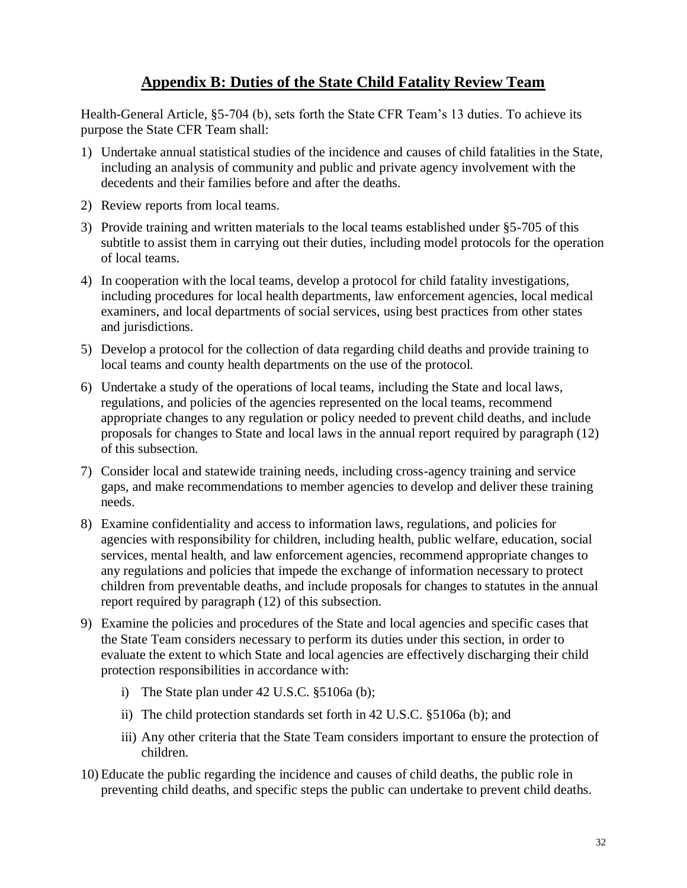## **Appendix B: Duties of the State Child Fatality Review Team**

<span id="page-33-0"></span>Health-General Article, §5-704 (b), sets forth the State CFR Team's 13 duties. To achieve its purpose the State CFR Team shall:

- 1) Undertake annual statistical studies of the incidence and causes of child fatalities in the State, including an analysis of community and public and private agency involvement with the decedents and their families before and after the deaths.
- 2) Review reports from local teams.
- 3) Provide training and written materials to the local teams established under §5-705 of this subtitle to assist them in carrying out their duties, including model protocols for the operation of local teams.
- 4) In cooperation with the local teams, develop a protocol for child fatality investigations, including procedures for local health departments, law enforcement agencies, local medical examiners, and local departments of social services, using best practices from other states and jurisdictions.
- 5) Develop a protocol for the collection of data regarding child deaths and provide training to local teams and county health departments on the use of the protocol.
- 6) Undertake a study of the operations of local teams, including the State and local laws, regulations, and policies of the agencies represented on the local teams, recommend appropriate changes to any regulation or policy needed to prevent child deaths, and include proposals for changes to State and local laws in the annual report required by paragraph (12) of this subsection.
- 7) Consider local and statewide training needs, including cross-agency training and service gaps, and make recommendations to member agencies to develop and deliver these training needs.
- 8) Examine confidentiality and access to information laws, regulations, and policies for agencies with responsibility for children, including health, public welfare, education, social services, mental health, and law enforcement agencies, recommend appropriate changes to any regulations and policies that impede the exchange of information necessary to protect children from preventable deaths, and include proposals for changes to statutes in the annual report required by paragraph (12) of this subsection.
- 9) Examine the policies and procedures of the State and local agencies and specific cases that the State Team considers necessary to perform its duties under this section, in order to evaluate the extent to which State and local agencies are effectively discharging their child protection responsibilities in accordance with:
	- i) The State plan under 42 U.S.C. §5106a (b);
	- ii) The child protection standards set forth in 42 U.S.C. §5106a (b); and
	- iii) Any other criteria that the State Team considers important to ensure the protection of children.
- 10) Educate the public regarding the incidence and causes of child deaths, the public role in preventing child deaths, and specific steps the public can undertake to prevent child deaths.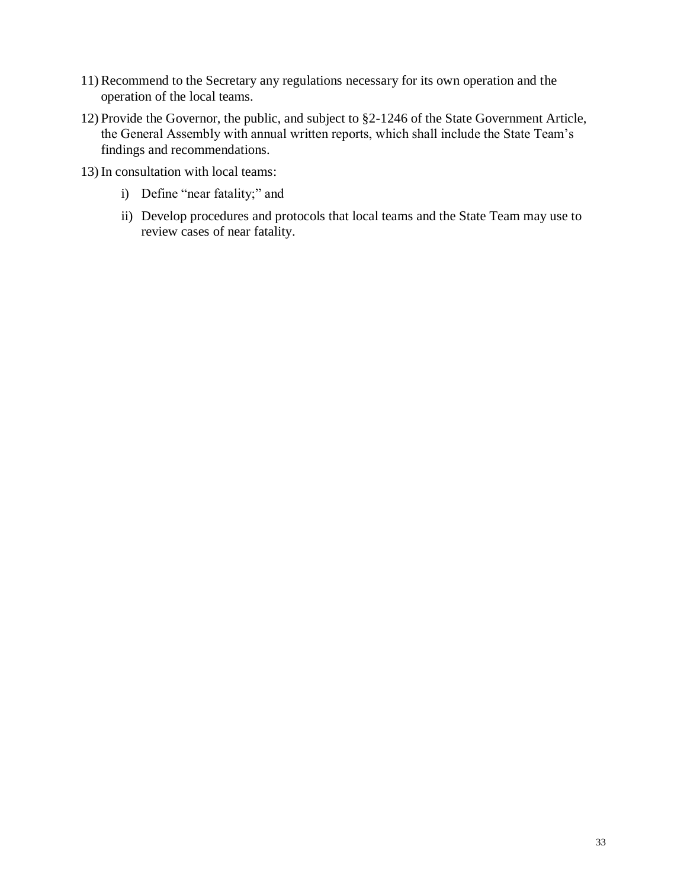- 11) Recommend to the Secretary any regulations necessary for its own operation and the operation of the local teams.
- 12) Provide the Governor, the public, and subject to §2-1246 of the State Government Article, the General Assembly with annual written reports, which shall include the State Team's findings and recommendations.
- 13) In consultation with local teams:
	- i) Define "near fatality;" and
	- ii) Develop procedures and protocols that local teams and the State Team may use to review cases of near fatality.